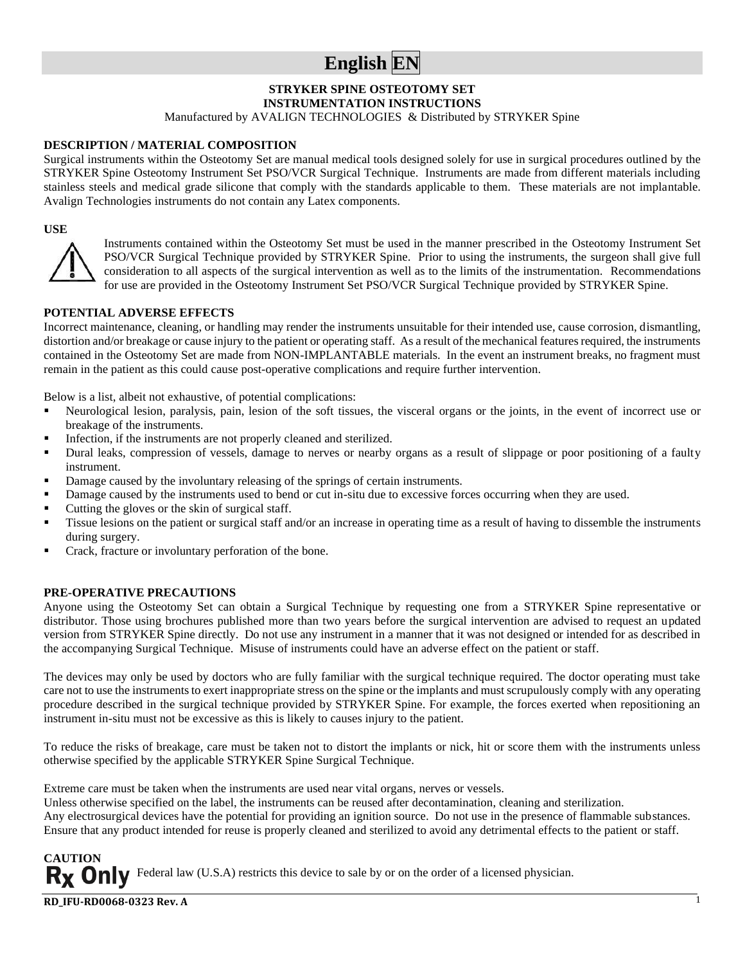## **English EN**

#### **STRYKER SPINE OSTEOTOMY SET**

**INSTRUMENTATION INSTRUCTIONS**

Manufactured by AVALIGN TECHNOLOGIES & Distributed by STRYKER Spine

#### **DESCRIPTION / MATERIAL COMPOSITION**

Surgical instruments within the Osteotomy Set are manual medical tools designed solely for use in surgical procedures outlined by the STRYKER Spine Osteotomy Instrument Set PSO/VCR Surgical Technique. Instruments are made from different materials including stainless steels and medical grade silicone that comply with the standards applicable to them. These materials are not implantable. Avalign Technologies instruments do not contain any Latex components.

#### **USE**



Instruments contained within the Osteotomy Set must be used in the manner prescribed in the Osteotomy Instrument Set PSO/VCR Surgical Technique provided by STRYKER Spine. Prior to using the instruments, the surgeon shall give full consideration to all aspects of the surgical intervention as well as to the limits of the instrumentation. Recommendations for use are provided in the Osteotomy Instrument Set PSO/VCR Surgical Technique provided by STRYKER Spine.

#### **POTENTIAL ADVERSE EFFECTS**

Incorrect maintenance, cleaning, or handling may render the instruments unsuitable for their intended use, cause corrosion, dismantling, distortion and/or breakage or cause injury to the patient or operating staff. As a result of the mechanical features required, the instruments contained in the Osteotomy Set are made from NON-IMPLANTABLE materials. In the event an instrument breaks, no fragment must remain in the patient as this could cause post-operative complications and require further intervention.

Below is a list, albeit not exhaustive, of potential complications:

- Neurological lesion, paralysis, pain, lesion of the soft tissues, the visceral organs or the joints, in the event of incorrect use or breakage of the instruments.
- Infection, if the instruments are not properly cleaned and sterilized.
- Dural leaks, compression of vessels, damage to nerves or nearby organs as a result of slippage or poor positioning of a faulty instrument.
- Damage caused by the involuntary releasing of the springs of certain instruments.
- Damage caused by the instruments used to bend or cut in-situ due to excessive forces occurring when they are used.
- Cutting the gloves or the skin of surgical staff.
- Tissue lesions on the patient or surgical staff and/or an increase in operating time as a result of having to dissemble the instruments during surgery.
- Crack, fracture or involuntary perforation of the bone.

#### **PRE-OPERATIVE PRECAUTIONS**

Anyone using the Osteotomy Set can obtain a Surgical Technique by requesting one from a STRYKER Spine representative or distributor. Those using brochures published more than two years before the surgical intervention are advised to request an updated version from STRYKER Spine directly. Do not use any instrument in a manner that it was not designed or intended for as described in the accompanying Surgical Technique. Misuse of instruments could have an adverse effect on the patient or staff.

The devices may only be used by doctors who are fully familiar with the surgical technique required. The doctor operating must take care not to use the instruments to exert inappropriate stress on the spine or the implants and must scrupulously comply with any operating procedure described in the surgical technique provided by STRYKER Spine. For example, the forces exerted when repositioning an instrument in-situ must not be excessive as this is likely to causes injury to the patient.

To reduce the risks of breakage, care must be taken not to distort the implants or nick, hit or score them with the instruments unless otherwise specified by the applicable STRYKER Spine Surgical Technique.

Extreme care must be taken when the instruments are used near vital organs, nerves or vessels.

Unless otherwise specified on the label, the instruments can be reused after decontamination, cleaning and sterilization.

Any electrosurgical devices have the potential for providing an ignition source. Do not use in the presence of flammable substances. Ensure that any product intended for reuse is properly cleaned and sterilized to avoid any detrimental effects to the patient or staff.

1

Federal law (U.S.A) restricts this device to sale by or on the order of a licensed physician.

**RD\_IFU-RD0068-0323 Rev. A**

**CAUTION**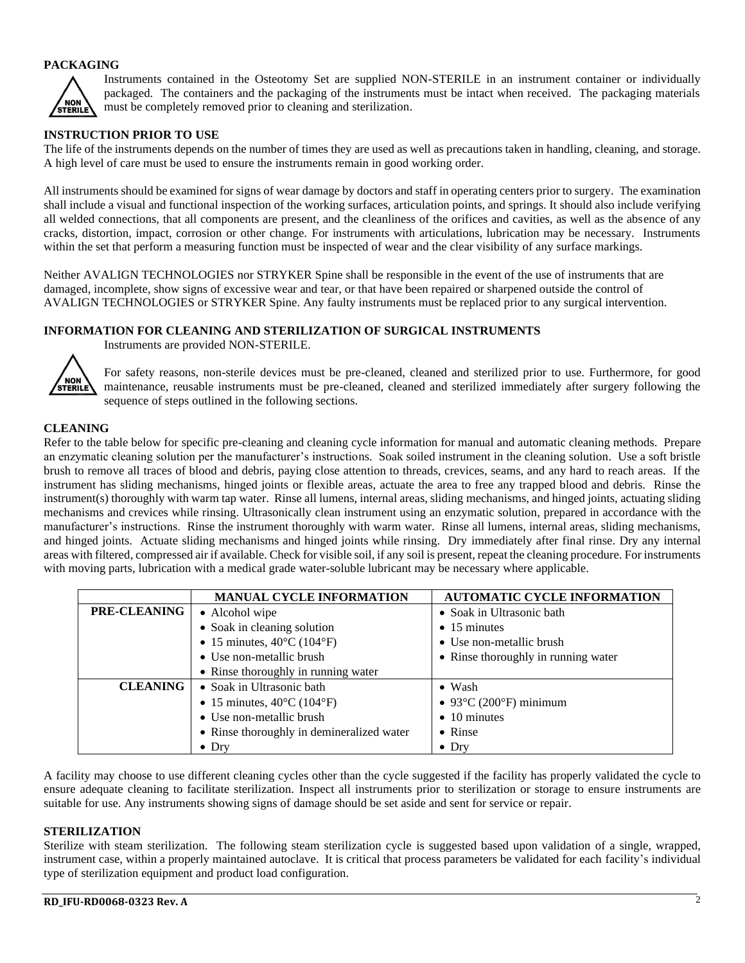#### **PACKAGING**



Instruments contained in the Osteotomy Set are supplied NON-STERILE in an instrument container or individually packaged. The containers and the packaging of the instruments must be intact when received. The packaging materials must be completely removed prior to cleaning and sterilization.

#### **INSTRUCTION PRIOR TO USE**

The life of the instruments depends on the number of times they are used as well as precautions taken in handling, cleaning, and storage. A high level of care must be used to ensure the instruments remain in good working order.

All instruments should be examined for signs of wear damage by doctors and staff in operating centers prior to surgery. The examination shall include a visual and functional inspection of the working surfaces, articulation points, and springs. It should also include verifying all welded connections, that all components are present, and the cleanliness of the orifices and cavities, as well as the absence of any cracks, distortion, impact, corrosion or other change. For instruments with articulations, lubrication may be necessary. Instruments within the set that perform a measuring function must be inspected of wear and the clear visibility of any surface markings.

Neither AVALIGN TECHNOLOGIES nor STRYKER Spine shall be responsible in the event of the use of instruments that are damaged, incomplete, show signs of excessive wear and tear, or that have been repaired or sharpened outside the control of AVALIGN TECHNOLOGIES or STRYKER Spine. Any faulty instruments must be replaced prior to any surgical intervention.

#### **INFORMATION FOR CLEANING AND STERILIZATION OF SURGICAL INSTRUMENTS**



Instruments are provided NON-STERILE.

For safety reasons, non-sterile devices must be pre-cleaned, cleaned and sterilized prior to use. Furthermore, for good maintenance, reusable instruments must be pre-cleaned, cleaned and sterilized immediately after surgery following the sequence of steps outlined in the following sections.

#### **CLEANING**

Refer to the table below for specific pre-cleaning and cleaning cycle information for manual and automatic cleaning methods. Prepare an enzymatic cleaning solution per the manufacturer's instructions. Soak soiled instrument in the cleaning solution. Use a soft bristle brush to remove all traces of blood and debris, paying close attention to threads, crevices, seams, and any hard to reach areas. If the instrument has sliding mechanisms, hinged joints or flexible areas, actuate the area to free any trapped blood and debris. Rinse the instrument(s) thoroughly with warm tap water. Rinse all lumens, internal areas, sliding mechanisms, and hinged joints, actuating sliding mechanisms and crevices while rinsing. Ultrasonically clean instrument using an enzymatic solution, prepared in accordance with the manufacturer's instructions. Rinse the instrument thoroughly with warm water. Rinse all lumens, internal areas, sliding mechanisms, and hinged joints. Actuate sliding mechanisms and hinged joints while rinsing. Dry immediately after final rinse. Dry any internal areas with filtered, compressed air if available. Check for visible soil, if any soil is present, repeat the cleaning procedure. For instruments with moving parts, lubrication with a medical grade water-soluble lubricant may be necessary where applicable.

|                     | <b>MANUAL CYCLE INFORMATION</b>                 | <b>AUTOMATIC CYCLE INFORMATION</b>  |
|---------------------|-------------------------------------------------|-------------------------------------|
| <b>PRE-CLEANING</b> | • Alcohol wipe                                  | • Soak in Ultrasonic bath           |
|                     | • Soak in cleaning solution                     | $\bullet$ 15 minutes                |
|                     | • 15 minutes, $40^{\circ}$ C (104 $^{\circ}$ F) | • Use non-metallic brush            |
|                     | • Use non-metallic brush                        | • Rinse thoroughly in running water |
|                     | • Rinse thoroughly in running water             |                                     |
| <b>CLEANING</b>     | • Soak in Ultrasonic bath                       | $\bullet$ Wash                      |
|                     | • 15 minutes, $40^{\circ}$ C (104 $^{\circ}$ F) | $\bullet$ 93°C (200°F) minimum      |
|                     | • Use non-metallic brush                        | $\bullet$ 10 minutes                |
|                     | • Rinse thoroughly in demineralized water       | $\bullet$ Rinse                     |
|                     | $\bullet$ Dry                                   | $\bullet$ Dry                       |

A facility may choose to use different cleaning cycles other than the cycle suggested if the facility has properly validated the cycle to ensure adequate cleaning to facilitate sterilization. Inspect all instruments prior to sterilization or storage to ensure instruments are suitable for use. Any instruments showing signs of damage should be set aside and sent for service or repair.

#### **STERILIZATION**

Sterilize with steam sterilization. The following steam sterilization cycle is suggested based upon validation of a single, wrapped, instrument case, within a properly maintained autoclave. It is critical that process parameters be validated for each facility's individual type of sterilization equipment and product load configuration.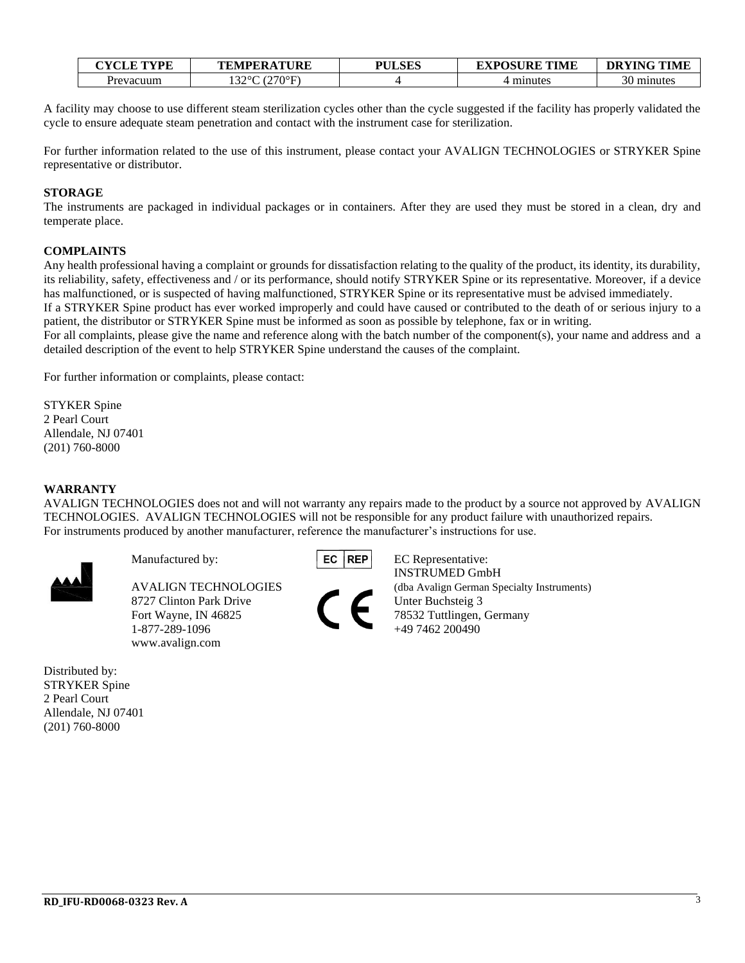| <b>CYCLE TYPE</b>     | <b>TEMPERATURE</b> | <b>PULSES</b> | <b>EXPOSURE TIME</b> | <b>DRYING TIME</b> |
|-----------------------|--------------------|---------------|----------------------|--------------------|
| <sup>o</sup> revacuum | (270°F)<br>2200C   |               | minutes              | minutes            |

A facility may choose to use different steam sterilization cycles other than the cycle suggested if the facility has properly validated the cycle to ensure adequate steam penetration and contact with the instrument case for sterilization.

For further information related to the use of this instrument, please contact your AVALIGN TECHNOLOGIES or STRYKER Spine representative or distributor.

#### **STORAGE**

The instruments are packaged in individual packages or in containers. After they are used they must be stored in a clean, dry and temperate place.

#### **COMPLAINTS**

Any health professional having a complaint or grounds for dissatisfaction relating to the quality of the product, its identity, its durability, its reliability, safety, effectiveness and / or its performance, should notify STRYKER Spine or its representative. Moreover, if a device has malfunctioned, or is suspected of having malfunctioned, STRYKER Spine or its representative must be advised immediately.

If a STRYKER Spine product has ever worked improperly and could have caused or contributed to the death of or serious injury to a patient, the distributor or STRYKER Spine must be informed as soon as possible by telephone, fax or in writing.

For all complaints, please give the name and reference along with the batch number of the component(s), your name and address and a detailed description of the event to help STRYKER Spine understand the causes of the complaint.

For further information or complaints, please contact:

STYKER Spine 2 Pearl Court Allendale, NJ 07401 (201) 760-8000

#### **WARRANTY**

AVALIGN TECHNOLOGIES does not and will not warranty any repairs made to the product by a source not approved by AVALIGN TECHNOLOGIES. AVALIGN TECHNOLOGIES will not be responsible for any product failure with unauthorized repairs. For instruments produced by another manufacturer, reference the manufacturer's instructions for use.



8727 Clinton Park Drive Unter Buchsteig 3 Fort Wayne, IN 46825 78532 Tuttlingen, Germany<br>1-877-289-1096 +49 7462 200490 1-877-289-1096 www.avalign.com

Distributed by: STRYKER Spine 2 Pearl Court Allendale, NJ 07401 (201) 760-8000



Manufactured by: EC REP EC Representative: INSTRUMED GmbH AVALIGN TECHNOLOGIES (dba Avalign German Specialty Instruments)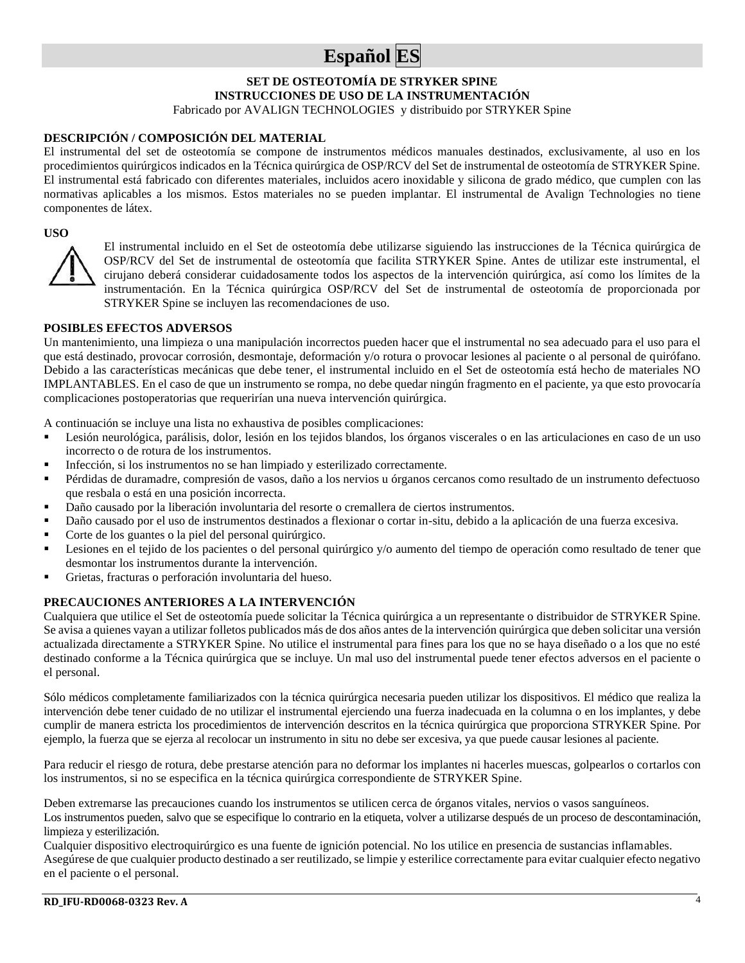## **Español ES**

#### **SET DE OSTEOTOMÍA DE STRYKER SPINE INSTRUCCIONES DE USO DE LA INSTRUMENTACIÓN** Fabricado por AVALIGN TECHNOLOGIES y distribuido por STRYKER Spine

#### **DESCRIPCIÓN / COMPOSICIÓN DEL MATERIAL**

El instrumental del set de osteotomía se compone de instrumentos médicos manuales destinados, exclusivamente, al uso en los procedimientos quirúrgicos indicados en la Técnica quirúrgica de OSP/RCV del Set de instrumental de osteotomía de STRYKER Spine. El instrumental está fabricado con diferentes materiales, incluidos acero inoxidable y silicona de grado médico, que cumplen con las normativas aplicables a los mismos. Estos materiales no se pueden implantar. El instrumental de Avalign Technologies no tiene componentes de látex.

#### **USO**



El instrumental incluido en el Set de osteotomía debe utilizarse siguiendo las instrucciones de la Técnica quirúrgica de OSP/RCV del Set de instrumental de osteotomía que facilita STRYKER Spine. Antes de utilizar este instrumental, el cirujano deberá considerar cuidadosamente todos los aspectos de la intervención quirúrgica, así como los límites de la instrumentación. En la Técnica quirúrgica OSP/RCV del Set de instrumental de osteotomía de proporcionada por STRYKER Spine se incluyen las recomendaciones de uso.

#### **POSIBLES EFECTOS ADVERSOS**

Un mantenimiento, una limpieza o una manipulación incorrectos pueden hacer que el instrumental no sea adecuado para el uso para el que está destinado, provocar corrosión, desmontaje, deformación y/o rotura o provocar lesiones al paciente o al personal de quirófano. Debido a las características mecánicas que debe tener, el instrumental incluido en el Set de osteotomía está hecho de materiales NO IMPLANTABLES. En el caso de que un instrumento se rompa, no debe quedar ningún fragmento en el paciente, ya que esto provocaría complicaciones postoperatorias que requerirían una nueva intervención quirúrgica.

A continuación se incluye una lista no exhaustiva de posibles complicaciones:

- Lesión neurológica, parálisis, dolor, lesión en los tejidos blandos, los órganos viscerales o en las articulaciones en caso de un uso incorrecto o de rotura de los instrumentos.
- Infección, si los instrumentos no se han limpiado y esterilizado correctamente.
- Pérdidas de duramadre, compresión de vasos, daño a los nervios u órganos cercanos como resultado de un instrumento defectuoso que resbala o está en una posición incorrecta.
- Daño causado por la liberación involuntaria del resorte o cremallera de ciertos instrumentos.
- Daño causado por el uso de instrumentos destinados a flexionar o cortar in-situ, debido a la aplicación de una fuerza excesiva.
- Corte de los guantes o la piel del personal quirúrgico.
- Lesiones en el tejido de los pacientes o del personal quirúrgico y/o aumento del tiempo de operación como resultado de tener que desmontar los instrumentos durante la intervención.
- Grietas, fracturas o perforación involuntaria del hueso.

#### **PRECAUCIONES ANTERIORES A LA INTERVENCIÓN**

Cualquiera que utilice el Set de osteotomía puede solicitar la Técnica quirúrgica a un representante o distribuidor de STRYKER Spine. Se avisa a quienes vayan a utilizar folletos publicados más de dos años antes de la intervención quirúrgica que deben solicitar una versión actualizada directamente a STRYKER Spine. No utilice el instrumental para fines para los que no se haya diseñado o a los que no esté destinado conforme a la Técnica quirúrgica que se incluye. Un mal uso del instrumental puede tener efectos adversos en el paciente o el personal.

Sólo médicos completamente familiarizados con la técnica quirúrgica necesaria pueden utilizar los dispositivos. El médico que realiza la intervención debe tener cuidado de no utilizar el instrumental ejerciendo una fuerza inadecuada en la columna o en los implantes, y debe cumplir de manera estricta los procedimientos de intervención descritos en la técnica quirúrgica que proporciona STRYKER Spine. Por ejemplo, la fuerza que se ejerza al recolocar un instrumento in situ no debe ser excesiva, ya que puede causar lesiones al paciente.

Para reducir el riesgo de rotura, debe prestarse atención para no deformar los implantes ni hacerles muescas, golpearlos o cortarlos con los instrumentos, si no se especifica en la técnica quirúrgica correspondiente de STRYKER Spine.

Deben extremarse las precauciones cuando los instrumentos se utilicen cerca de órganos vitales, nervios o vasos sanguíneos. Los instrumentos pueden, salvo que se especifique lo contrario en la etiqueta, volver a utilizarse después de un proceso de descontaminación, limpieza y esterilización.

Cualquier dispositivo electroquirúrgico es una fuente de ignición potencial. No los utilice en presencia de sustancias inflamables. Asegúrese de que cualquier producto destinado a ser reutilizado, se limpie y esterilice correctamente para evitar cualquier efecto negativo en el paciente o el personal.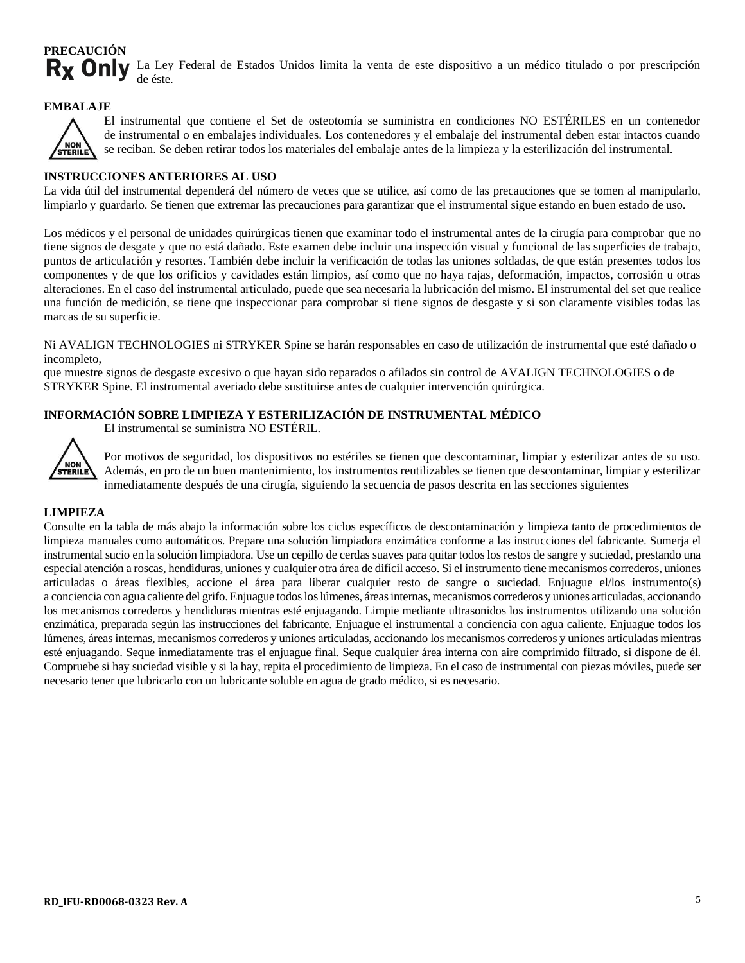#### **PRECAUCIÓN** Rx Only La Ley Federal de Estados Unidos limita la venta de este dispositivo a un médico titulado o por prescripción de éste.

#### **EMBALAJE**



El instrumental que contiene el Set de osteotomía se suministra en condiciones NO ESTÉRILES en un contenedor de instrumental o en embalajes individuales. Los contenedores y el embalaje del instrumental deben estar intactos cuando se reciban. Se deben retirar todos los materiales del embalaje antes de la limpieza y la esterilización del instrumental.

#### **INSTRUCCIONES ANTERIORES AL USO**

La vida útil del instrumental dependerá del número de veces que se utilice, así como de las precauciones que se tomen al manipularlo, limpiarlo y guardarlo. Se tienen que extremar las precauciones para garantizar que el instrumental sigue estando en buen estado de uso.

Los médicos y el personal de unidades quirúrgicas tienen que examinar todo el instrumental antes de la cirugía para comprobar que no tiene signos de desgate y que no está dañado. Este examen debe incluir una inspección visual y funcional de las superficies de trabajo, puntos de articulación y resortes. También debe incluir la verificación de todas las uniones soldadas, de que están presentes todos los componentes y de que los orificios y cavidades están limpios, así como que no haya rajas, deformación, impactos, corrosión u otras alteraciones. En el caso del instrumental articulado, puede que sea necesaria la lubricación del mismo. El instrumental del set que realice una función de medición, se tiene que inspeccionar para comprobar si tiene signos de desgaste y si son claramente visibles todas las marcas de su superficie.

Ni AVALIGN TECHNOLOGIES ni STRYKER Spine se harán responsables en caso de utilización de instrumental que esté dañado o incompleto,

que muestre signos de desgaste excesivo o que hayan sido reparados o afilados sin control de AVALIGN TECHNOLOGIES o de STRYKER Spine. El instrumental averiado debe sustituirse antes de cualquier intervención quirúrgica.

#### **INFORMACIÓN SOBRE LIMPIEZA Y ESTERILIZACIÓN DE INSTRUMENTAL MÉDICO**

El instrumental se suministra NO ESTÉRIL.



Por motivos de seguridad, los dispositivos no estériles se tienen que descontaminar, limpiar y esterilizar antes de su uso. Además, en pro de un buen mantenimiento, los instrumentos reutilizables se tienen que descontaminar, limpiar y esterilizar inmediatamente después de una cirugía, siguiendo la secuencia de pasos descrita en las secciones siguientes

#### **LIMPIEZA**

Consulte en la tabla de más abajo la información sobre los ciclos específicos de descontaminación y limpieza tanto de procedimientos de limpieza manuales como automáticos. Prepare una solución limpiadora enzimática conforme a las instrucciones del fabricante. Sumerja el instrumental sucio en la solución limpiadora. Use un cepillo de cerdas suaves para quitar todos los restos de sangre y suciedad, prestando una especial atención a roscas, hendiduras, uniones y cualquier otra área de difícil acceso. Si el instrumento tiene mecanismos correderos, uniones articuladas o áreas flexibles, accione el área para liberar cualquier resto de sangre o suciedad. Enjuague el/los instrumento(s) a conciencia con agua caliente del grifo. Enjuague todos los lúmenes, áreas internas, mecanismos correderos y uniones articuladas, accionando los mecanismos correderos y hendiduras mientras esté enjuagando. Limpie mediante ultrasonidos los instrumentos utilizando una solución enzimática, preparada según las instrucciones del fabricante. Enjuague el instrumental a conciencia con agua caliente. Enjuague todos los lúmenes, áreas internas, mecanismos correderos y uniones articuladas, accionando los mecanismos correderos y uniones articuladas mientras esté enjuagando. Seque inmediatamente tras el enjuague final. Seque cualquier área interna con aire comprimido filtrado, si dispone de él. Compruebe si hay suciedad visible y si la hay, repita el procedimiento de limpieza. En el caso de instrumental con piezas móviles, puede ser necesario tener que lubricarlo con un lubricante soluble en agua de grado médico, si es necesario.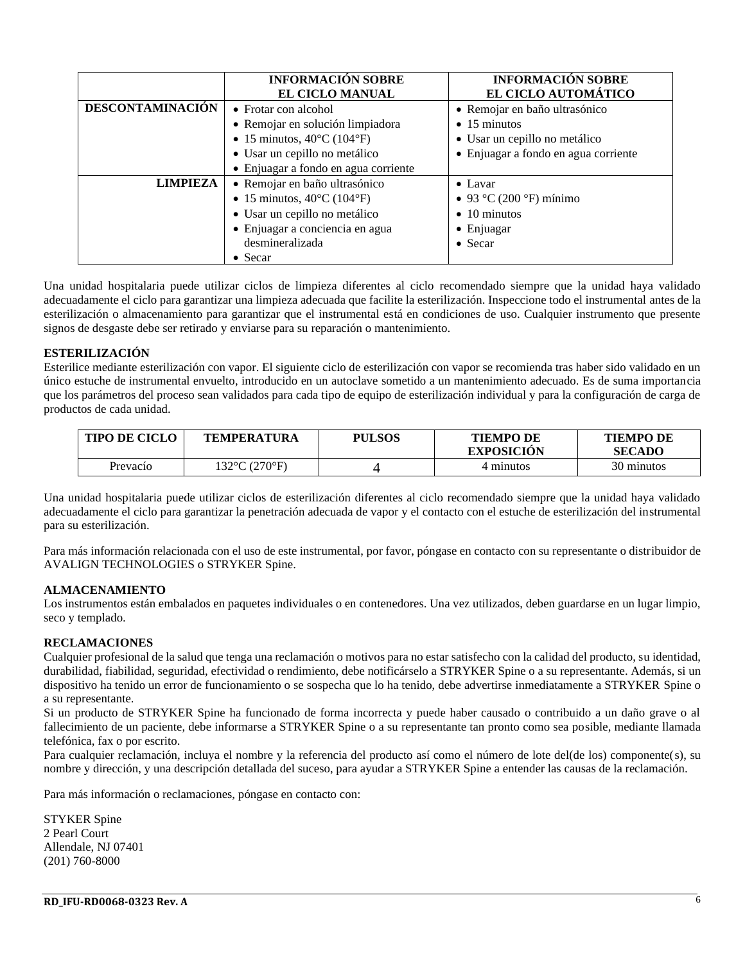|                                                  | <b>INFORMACIÓN SOBRE</b><br><b>EL CICLO MANUAL</b> | <b>INFORMACIÓN SOBRE</b><br>EL CICLO AUTOMÁTICO |
|--------------------------------------------------|----------------------------------------------------|-------------------------------------------------|
| <b>DESCONTAMINACIÓN</b>                          | • Frotar con alcohol                               | • Remojar en baño ultrasónico                   |
|                                                  | · Remojar en solución limpiadora                   | $\bullet$ 15 minutos                            |
|                                                  | • 15 minutos, $40^{\circ}$ C (104 $^{\circ}$ F)    | • Usar un cepillo no metálico                   |
|                                                  | • Usar un cepillo no metálico                      | • Enjuagar a fondo en agua corriente            |
|                                                  | • Enjuagar a fondo en agua corriente               |                                                 |
| <b>LIMPIEZA</b><br>• Remojar en baño ultrasónico |                                                    | $\bullet$ Lavar                                 |
|                                                  | • 15 minutos, $40^{\circ}$ C (104 $^{\circ}$ F)    | • 93 °C (200 °F) mínimo                         |
|                                                  | • Usar un cepillo no metálico                      | $\bullet$ 10 minutos                            |
|                                                  | · Enjuagar a conciencia en agua                    | • Enjuagar                                      |
|                                                  | desmineralizada                                    | $\bullet$ Secar                                 |
|                                                  | $\bullet$ Secar                                    |                                                 |

Una unidad hospitalaria puede utilizar ciclos de limpieza diferentes al ciclo recomendado siempre que la unidad haya validado adecuadamente el ciclo para garantizar una limpieza adecuada que facilite la esterilización. Inspeccione todo el instrumental antes de la esterilización o almacenamiento para garantizar que el instrumental está en condiciones de uso. Cualquier instrumento que presente signos de desgaste debe ser retirado y enviarse para su reparación o mantenimiento.

#### **ESTERILIZACIÓN**

Esterilice mediante esterilización con vapor. El siguiente ciclo de esterilización con vapor se recomienda tras haber sido validado en un único estuche de instrumental envuelto, introducido en un autoclave sometido a un mantenimiento adecuado. Es de suma importancia que los parámetros del proceso sean validados para cada tipo de equipo de esterilización individual y para la configuración de carga de productos de cada unidad.

| <b>TIPO DE CICLO</b> | <b>TEMPERATURA</b>                 | <b>PULSOS</b> | <b>TIEMPO DE</b><br><b>EXPOSICION</b> | <b>TIEMPO DE</b><br><b>SECADO</b> |
|----------------------|------------------------------------|---------------|---------------------------------------|-----------------------------------|
| Prevacío             | $132^{\circ}$ C (270 $^{\circ}$ F) |               | 4 minutos                             | 30 minutos                        |

Una unidad hospitalaria puede utilizar ciclos de esterilización diferentes al ciclo recomendado siempre que la unidad haya validado adecuadamente el ciclo para garantizar la penetración adecuada de vapor y el contacto con el estuche de esterilización del instrumental para su esterilización.

Para más información relacionada con el uso de este instrumental, por favor, póngase en contacto con su representante o distribuidor de AVALIGN TECHNOLOGIES o STRYKER Spine.

#### **ALMACENAMIENTO**

Los instrumentos están embalados en paquetes individuales o en contenedores. Una vez utilizados, deben guardarse en un lugar limpio, seco y templado.

#### **RECLAMACIONES**

Cualquier profesional de la salud que tenga una reclamación o motivos para no estar satisfecho con la calidad del producto, su identidad, durabilidad, fiabilidad, seguridad, efectividad o rendimiento, debe notificárselo a STRYKER Spine o a su representante. Además, si un dispositivo ha tenido un error de funcionamiento o se sospecha que lo ha tenido, debe advertirse inmediatamente a STRYKER Spine o a su representante.

Si un producto de STRYKER Spine ha funcionado de forma incorrecta y puede haber causado o contribuido a un daño grave o al fallecimiento de un paciente, debe informarse a STRYKER Spine o a su representante tan pronto como sea posible, mediante llamada telefónica, fax o por escrito.

Para cualquier reclamación, incluya el nombre y la referencia del producto así como el número de lote del(de los) componente(s), su nombre y dirección, y una descripción detallada del suceso, para ayudar a STRYKER Spine a entender las causas de la reclamación.

Para más información o reclamaciones, póngase en contacto con:

STYKER Spine 2 Pearl Court Allendale, NJ 07401 (201) 760-8000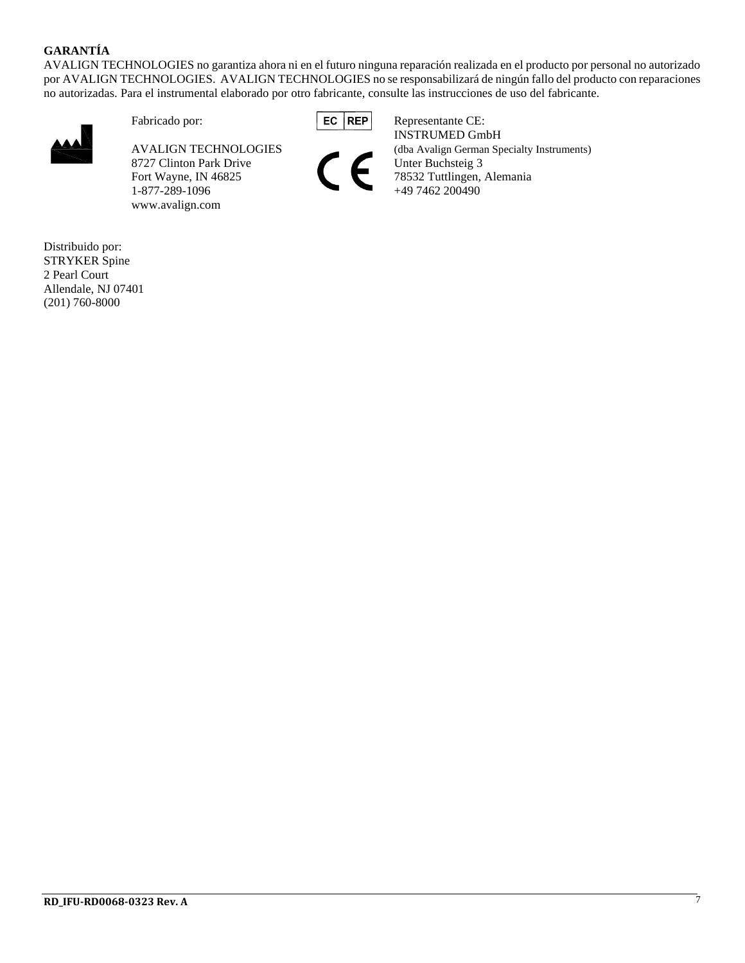#### **GARANTÍA**

AVALIGN TECHNOLOGIES no garantiza ahora ni en el futuro ninguna reparación realizada en el producto por personal no autorizado por AVALIGN TECHNOLOGIES. AVALIGN TECHNOLOGIES no se responsabilizará de ningún fallo del producto con reparaciones no autorizadas. Para el instrumental elaborado por otro fabricante, consulte las instrucciones de uso del fabricante.



8727 Clinton Park Drive  $\Gamma$  Fort Wayne, IN 46825 1-877-289-1096 www.avalign.com





Fabricado por: **EC REP** Representante CE: INSTRUMED GmbH AVALIGN TECHNOLOGIES (dba Avalign German Specialty Instruments)<br>8727 Clinton Park Drive Unter Buchsteig 3 Fort Wayne, IN 46825 78532 Tuttlingen, Alemania<br>1-877-289-1096 +49 7462 200490

Distribuido por: STRYKER Spine 2 Pearl Court Allendale, NJ 07401 (201) 760-8000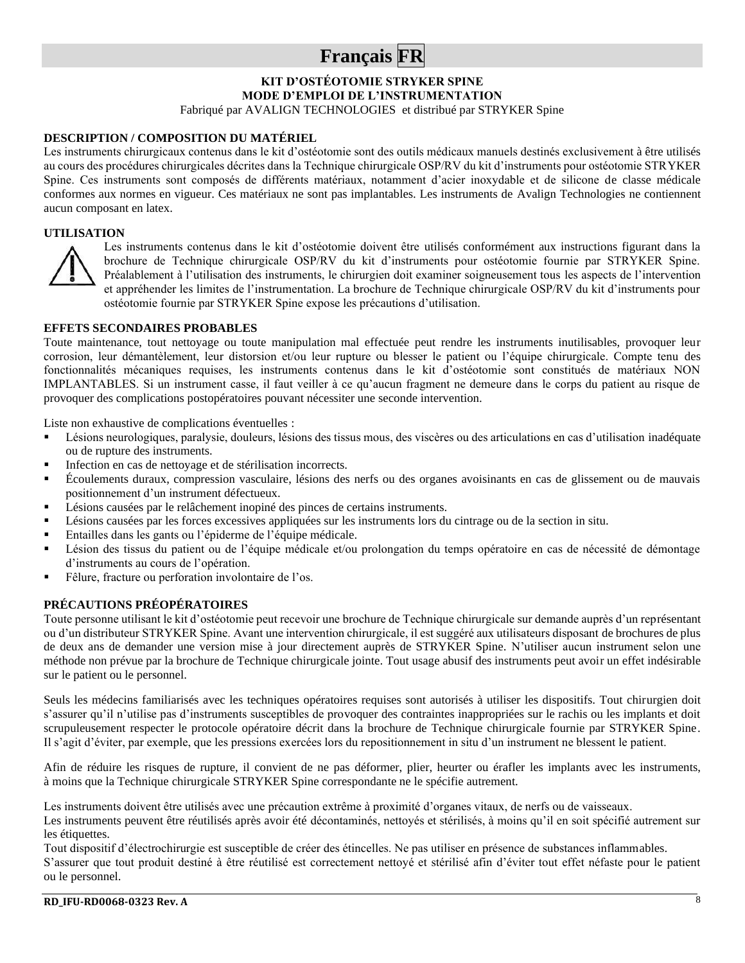## **Français FR**

**KIT D'OSTÉOTOMIE STRYKER SPINE MODE D'EMPLOI DE L'INSTRUMENTATION**

Fabriqué par AVALIGN TECHNOLOGIES et distribué par STRYKER Spine

#### **DESCRIPTION / COMPOSITION DU MATÉRIEL**

Les instruments chirurgicaux contenus dans le kit d'ostéotomie sont des outils médicaux manuels destinés exclusivement à être utilisés au cours des procédures chirurgicales décrites dans la Technique chirurgicale OSP/RV du kit d'instruments pour ostéotomie STRYKER Spine. Ces instruments sont composés de différents matériaux, notamment d'acier inoxydable et de silicone de classe médicale conformes aux normes en vigueur. Ces matériaux ne sont pas implantables. Les instruments de Avalign Technologies ne contiennent aucun composant en latex.

#### **UTILISATION**



Les instruments contenus dans le kit d'ostéotomie doivent être utilisés conformément aux instructions figurant dans la brochure de Technique chirurgicale OSP/RV du kit d'instruments pour ostéotomie fournie par STRYKER Spine. Préalablement à l'utilisation des instruments, le chirurgien doit examiner soigneusement tous les aspects de l'intervention et appréhender les limites de l'instrumentation. La brochure de Technique chirurgicale OSP/RV du kit d'instruments pour ostéotomie fournie par STRYKER Spine expose les précautions d'utilisation.

#### **EFFETS SECONDAIRES PROBABLES**

Toute maintenance, tout nettoyage ou toute manipulation mal effectuée peut rendre les instruments inutilisables, provoquer leur corrosion, leur démantèlement, leur distorsion et/ou leur rupture ou blesser le patient ou l'équipe chirurgicale. Compte tenu des fonctionnalités mécaniques requises, les instruments contenus dans le kit d'ostéotomie sont constitués de matériaux NON IMPLANTABLES. Si un instrument casse, il faut veiller à ce qu'aucun fragment ne demeure dans le corps du patient au risque de provoquer des complications postopératoires pouvant nécessiter une seconde intervention.

Liste non exhaustive de complications éventuelles :

- Lésions neurologiques, paralysie, douleurs, lésions des tissus mous, des viscères ou des articulations en cas d'utilisation inadéquate ou de rupture des instruments.
- Infection en cas de nettoyage et de stérilisation incorrects.
- Écoulements duraux, compression vasculaire, lésions des nerfs ou des organes avoisinants en cas de glissement ou de mauvais positionnement d'un instrument défectueux.
- Lésions causées par le relâchement inopiné des pinces de certains instruments.
- Lésions causées par les forces excessives appliquées sur les instruments lors du cintrage ou de la section in situ.
- Entailles dans les gants ou l'épiderme de l'équipe médicale.
- Lésion des tissus du patient ou de l'équipe médicale et/ou prolongation du temps opératoire en cas de nécessité de démontage d'instruments au cours de l'opération.
- Fêlure, fracture ou perforation involontaire de l'os.

#### **PRÉCAUTIONS PRÉOPÉRATOIRES**

Toute personne utilisant le kit d'ostéotomie peut recevoir une brochure de Technique chirurgicale sur demande auprès d'un représentant ou d'un distributeur STRYKER Spine. Avant une intervention chirurgicale, il est suggéré aux utilisateurs disposant de brochures de plus de deux ans de demander une version mise à jour directement auprès de STRYKER Spine. N'utiliser aucun instrument selon une méthode non prévue par la brochure de Technique chirurgicale jointe. Tout usage abusif des instruments peut avoir un effet indésirable sur le patient ou le personnel.

Seuls les médecins familiarisés avec les techniques opératoires requises sont autorisés à utiliser les dispositifs. Tout chirurgien doit s'assurer qu'il n'utilise pas d'instruments susceptibles de provoquer des contraintes inappropriées sur le rachis ou les implants et doit scrupuleusement respecter le protocole opératoire décrit dans la brochure de Technique chirurgicale fournie par STRYKER Spine. Il s'agit d'éviter, par exemple, que les pressions exercées lors du repositionnement in situ d'un instrument ne blessent le patient.

Afin de réduire les risques de rupture, il convient de ne pas déformer, plier, heurter ou érafler les implants avec les instruments, à moins que la Technique chirurgicale STRYKER Spine correspondante ne le spécifie autrement.

Les instruments doivent être utilisés avec une précaution extrême à proximité d'organes vitaux, de nerfs ou de vaisseaux.

Les instruments peuvent être réutilisés après avoir été décontaminés, nettoyés et stérilisés, à moins qu'il en soit spécifié autrement sur les étiquettes.

Tout dispositif d'électrochirurgie est susceptible de créer des étincelles. Ne pas utiliser en présence de substances inflammables. S'assurer que tout produit destiné à être réutilisé est correctement nettoyé et stérilisé afin d'éviter tout effet néfaste pour le patient ou le personnel.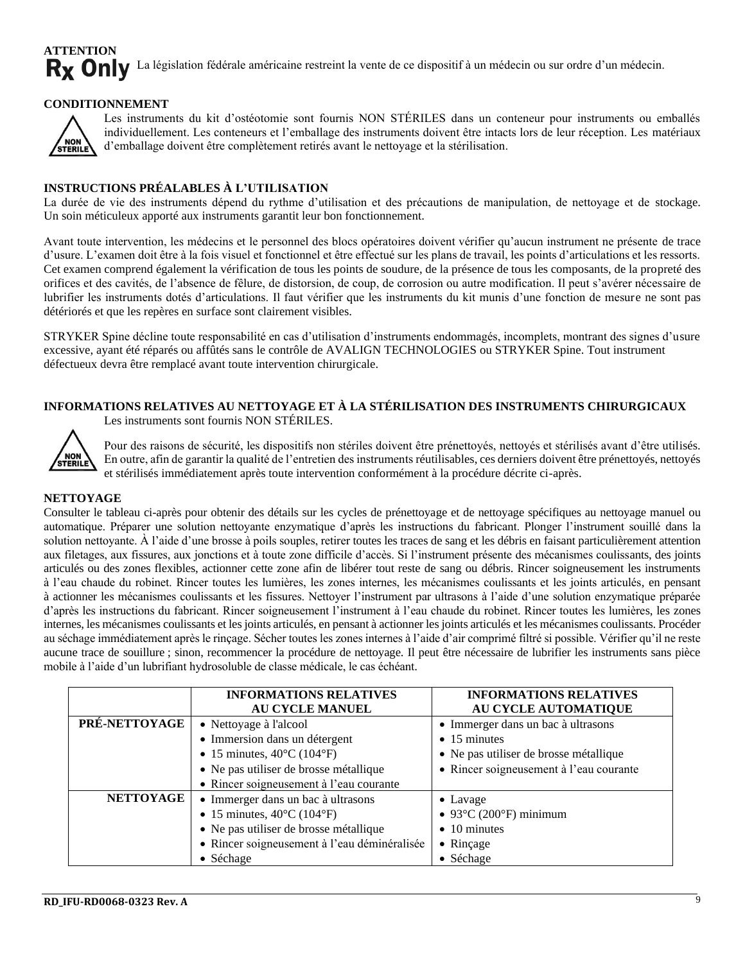#### **ATTENTION** Rx Only La législation fédérale américaine restreint la vente de ce dispositif à un médecin ou sur ordre d'un médecin.

#### **CONDITIONNEMENT**



Les instruments du kit d'ostéotomie sont fournis NON STÉRILES dans un conteneur pour instruments ou emballés individuellement. Les conteneurs et l'emballage des instruments doivent être intacts lors de leur réception. Les matériaux d'emballage doivent être complètement retirés avant le nettoyage et la stérilisation.

#### **INSTRUCTIONS PRÉALABLES À L'UTILISATION**

La durée de vie des instruments dépend du rythme d'utilisation et des précautions de manipulation, de nettoyage et de stockage. Un soin méticuleux apporté aux instruments garantit leur bon fonctionnement.

Avant toute intervention, les médecins et le personnel des blocs opératoires doivent vérifier qu'aucun instrument ne présente de trace d'usure. L'examen doit être à la fois visuel et fonctionnel et être effectué sur les plans de travail, les points d'articulations et les ressorts. Cet examen comprend également la vérification de tous les points de soudure, de la présence de tous les composants, de la propreté des orifices et des cavités, de l'absence de fêlure, de distorsion, de coup, de corrosion ou autre modification. Il peut s'avérer nécessaire de lubrifier les instruments dotés d'articulations. Il faut vérifier que les instruments du kit munis d'une fonction de mesure ne sont pas détériorés et que les repères en surface sont clairement visibles.

STRYKER Spine décline toute responsabilité en cas d'utilisation d'instruments endommagés, incomplets, montrant des signes d'usure excessive, ayant été réparés ou affûtés sans le contrôle de AVALIGN TECHNOLOGIES ou STRYKER Spine. Tout instrument défectueux devra être remplacé avant toute intervention chirurgicale.

#### **INFORMATIONS RELATIVES AU NETTOYAGE ET À LA STÉRILISATION DES INSTRUMENTS CHIRURGICAUX** Les instruments sont fournis NON STÉRILES.



Pour des raisons de sécurité, les dispositifs non stériles doivent être prénettoyés, nettoyés et stérilisés avant d'être utilisés. En outre, afin de garantir la qualité de l'entretien des instruments réutilisables, ces derniers doivent être prénettoyés, nettoyés et stérilisés immédiatement après toute intervention conformément à la procédure décrite ci-après.

#### **NETTOYAGE**

Consulter le tableau ci-après pour obtenir des détails sur les cycles de prénettoyage et de nettoyage spécifiques au nettoyage manuel ou automatique. Préparer une solution nettoyante enzymatique d'après les instructions du fabricant. Plonger l'instrument souillé dans la solution nettoyante. À l'aide d'une brosse à poils souples, retirer toutes les traces de sang et les débris en faisant particulièrement attention aux filetages, aux fissures, aux jonctions et à toute zone difficile d'accès. Si l'instrument présente des mécanismes coulissants, des joints articulés ou des zones flexibles, actionner cette zone afin de libérer tout reste de sang ou débris. Rincer soigneusement les instruments à l'eau chaude du robinet. Rincer toutes les lumières, les zones internes, les mécanismes coulissants et les joints articulés, en pensant à actionner les mécanismes coulissants et les fissures. Nettoyer l'instrument par ultrasons à l'aide d'une solution enzymatique préparée d'après les instructions du fabricant. Rincer soigneusement l'instrument à l'eau chaude du robinet. Rincer toutes les lumières, les zones internes, les mécanismes coulissants et les joints articulés, en pensant à actionner les joints articulés et les mécanismes coulissants. Procéder au séchage immédiatement après le rinçage. Sécher toutes les zones internes à l'aide d'air comprimé filtré si possible. Vérifier qu'il ne reste aucune trace de souillure ; sinon, recommencer la procédure de nettoyage. Il peut être nécessaire de lubrifier les instruments sans pièce mobile à l'aide d'un lubrifiant hydrosoluble de classe médicale, le cas échéant.

|                  | <b>INFORMATIONS RELATIVES</b><br><b>AU CYCLE MANUEL</b>                                                                                                                                         | <b>INFORMATIONS RELATIVES</b><br>AU CYCLE AUTOMATIQUE                                                                                           |
|------------------|-------------------------------------------------------------------------------------------------------------------------------------------------------------------------------------------------|-------------------------------------------------------------------------------------------------------------------------------------------------|
| PRÉ-NETTOYAGE    | • Nettoyage à l'alcool<br>• Immersion dans un détergent<br>• 15 minutes, $40^{\circ}$ C (104 $^{\circ}$ F)<br>• Ne pas utiliser de brosse métallique<br>• Rincer soigneusement à l'eau courante | • Immerger dans un bac à ultrasons<br>$\bullet$ 15 minutes<br>• Ne pas utiliser de brosse métallique<br>• Rincer soigneusement à l'eau courante |
| <b>NETTOYAGE</b> | • Immerger dans un bac à ultrasons<br>• 15 minutes, $40^{\circ}$ C (104 $^{\circ}$ F)<br>• Ne pas utiliser de brosse métallique<br>• Rincer soigneusement à l'eau déminéralisée<br>• Séchage    | • Lavage<br>$\bullet$ 93°C (200°F) minimum<br>$\bullet$ 10 minutes<br>• Rinçage<br>• Séchage                                                    |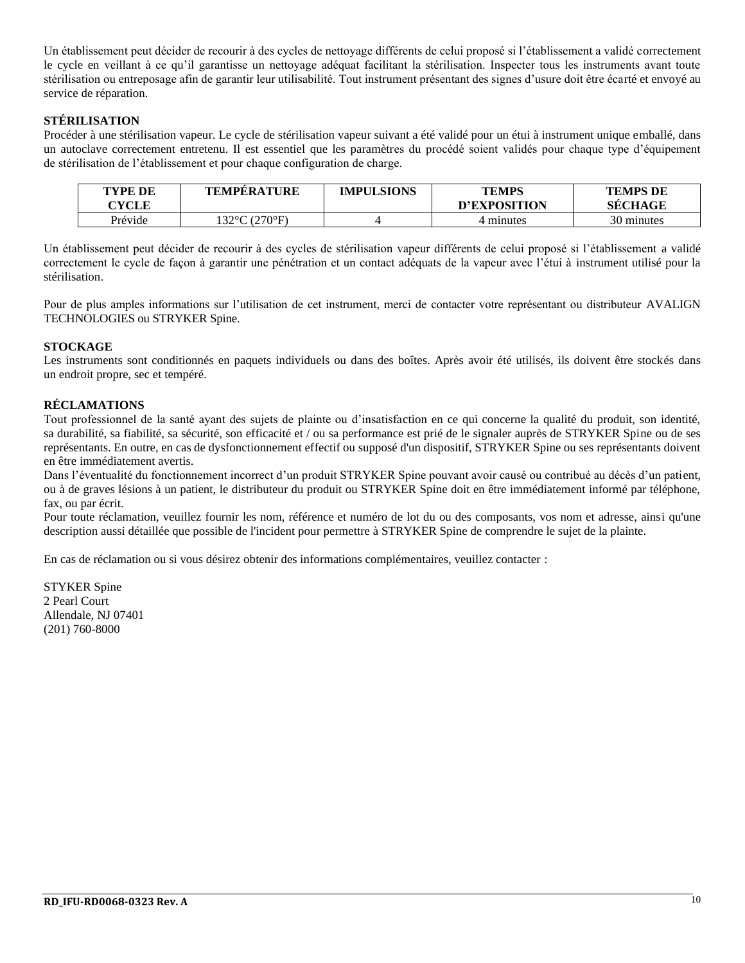Un établissement peut décider de recourir à des cycles de nettoyage différents de celui proposé si l'établissement a validé correctement le cycle en veillant à ce qu'il garantisse un nettoyage adéquat facilitant la stérilisation. Inspecter tous les instruments avant toute stérilisation ou entreposage afin de garantir leur utilisabilité. Tout instrument présentant des signes d'usure doit être écarté et envoyé au service de réparation.

#### **STÉRILISATION**

Procéder à une stérilisation vapeur. Le cycle de stérilisation vapeur suivant a été validé pour un étui à instrument unique emballé, dans un autoclave correctement entretenu. Il est essentiel que les paramètres du procédé soient validés pour chaque type d'équipement de stérilisation de l'établissement et pour chaque configuration de charge.

| TYPE DE<br><b>CYCLE</b> | <b>TEMPERATURE</b> | <b>IMPULSIONS</b> | <b>TEMPS</b><br>D'EXPOSITION | <b>TEMPS DE</b><br><b>SECHAGE</b> |
|-------------------------|--------------------|-------------------|------------------------------|-----------------------------------|
| Prévide                 | 132°C (270°F)      |                   | 4 minutes                    | 30 minutes                        |

Un établissement peut décider de recourir à des cycles de stérilisation vapeur différents de celui proposé si l'établissement a validé correctement le cycle de façon à garantir une pénétration et un contact adéquats de la vapeur avec l'étui à instrument utilisé pour la stérilisation.

Pour de plus amples informations sur l'utilisation de cet instrument, merci de contacter votre représentant ou distributeur AVALIGN TECHNOLOGIES ou STRYKER Spine.

#### **STOCKAGE**

Les instruments sont conditionnés en paquets individuels ou dans des boîtes. Après avoir été utilisés, ils doivent être stockés dans un endroit propre, sec et tempéré.

#### **RÉCLAMATIONS**

Tout professionnel de la santé ayant des sujets de plainte ou d'insatisfaction en ce qui concerne la qualité du produit, son identité, sa durabilité, sa fiabilité, sa sécurité, son efficacité et / ou sa performance est prié de le signaler auprès de STRYKER Spine ou de ses représentants. En outre, en cas de dysfonctionnement effectif ou supposé d'un dispositif, STRYKER Spine ou ses représentants doivent en être immédiatement avertis.

Dans l'éventualité du fonctionnement incorrect d'un produit STRYKER Spine pouvant avoir causé ou contribué au décès d'un patient, ou à de graves lésions à un patient, le distributeur du produit ou STRYKER Spine doit en être immédiatement informé par téléphone, fax, ou par écrit.

Pour toute réclamation, veuillez fournir les nom, référence et numéro de lot du ou des composants, vos nom et adresse, ainsi qu'une description aussi détaillée que possible de l'incident pour permettre à STRYKER Spine de comprendre le sujet de la plainte.

En cas de réclamation ou si vous désirez obtenir des informations complémentaires, veuillez contacter :

STYKER Spine 2 Pearl Court Allendale, NJ 07401 (201) 760-8000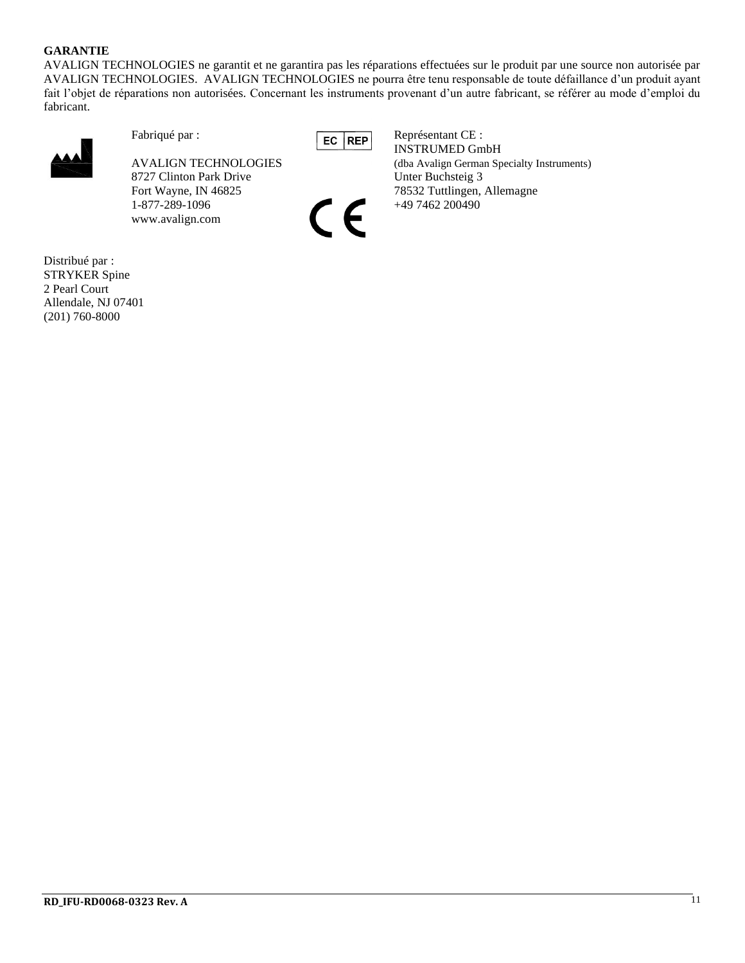#### **GARANTIE**

AVALIGN TECHNOLOGIES ne garantit et ne garantira pas les réparations effectuées sur le produit par une source non autorisée par AVALIGN TECHNOLOGIES. AVALIGN TECHNOLOGIES ne pourra être tenu responsable de toute défaillance d'un produit ayant fait l'objet de réparations non autorisées. Concernant les instruments provenant d'un autre fabricant, se référer au mode d'emploi du fabricant.



8727 Clinton Park Drive Unter Buchsteig 3 1-877-289-1096 +49 7462 200490 +49 7462 200490 www.avalign.com

Fabriqué par :<br>
EC REP Représentant CE : INSTRUMED GmbH AVALIGN TECHNOLOGIES (dba Avalign German Specialty Instruments) Fort Wayne, IN 46825 78532 Tuttlingen, Allemagne

Distribué par : STRYKER Spine 2 Pearl Court Allendale, NJ 07401 (201) 760-8000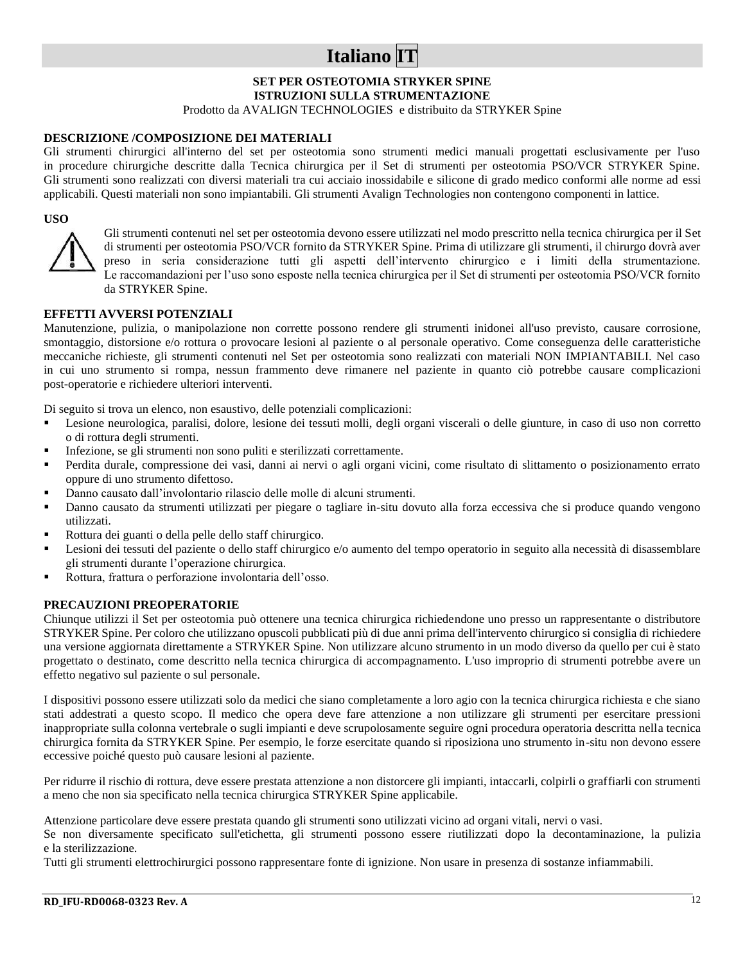## **Italiano IT**

#### **SET PER OSTEOTOMIA STRYKER SPINE ISTRUZIONI SULLA STRUMENTAZIONE**

Prodotto da AVALIGN TECHNOLOGIES e distribuito da STRYKER Spine

#### **DESCRIZIONE /COMPOSIZIONE DEI MATERIALI**

Gli strumenti chirurgici all'interno del set per osteotomia sono strumenti medici manuali progettati esclusivamente per l'uso in procedure chirurgiche descritte dalla Tecnica chirurgica per il Set di strumenti per osteotomia PSO/VCR STRYKER Spine. Gli strumenti sono realizzati con diversi materiali tra cui acciaio inossidabile e silicone di grado medico conformi alle norme ad essi applicabili. Questi materiali non sono impiantabili. Gli strumenti Avalign Technologies non contengono componenti in lattice.

#### **USO**



Gli strumenti contenuti nel set per osteotomia devono essere utilizzati nel modo prescritto nella tecnica chirurgica per il Set di strumenti per osteotomia PSO/VCR fornito da STRYKER Spine. Prima di utilizzare gli strumenti, il chirurgo dovrà aver preso in seria considerazione tutti gli aspetti dell'intervento chirurgico e i limiti della strumentazione. Le raccomandazioni per l'uso sono esposte nella tecnica chirurgica per il Set di strumenti per osteotomia PSO/VCR fornito da STRYKER Spine.

#### **EFFETTI AVVERSI POTENZIALI**

Manutenzione, pulizia, o manipolazione non corrette possono rendere gli strumenti inidonei all'uso previsto, causare corrosione, smontaggio, distorsione e/o rottura o provocare lesioni al paziente o al personale operativo. Come conseguenza delle caratteristiche meccaniche richieste, gli strumenti contenuti nel Set per osteotomia sono realizzati con materiali NON IMPIANTABILI. Nel caso in cui uno strumento si rompa, nessun frammento deve rimanere nel paziente in quanto ciò potrebbe causare complicazioni post-operatorie e richiedere ulteriori interventi.

Di seguito si trova un elenco, non esaustivo, delle potenziali complicazioni:

- Lesione neurologica, paralisi, dolore, lesione dei tessuti molli, degli organi viscerali o delle giunture, in caso di uso non corretto o di rottura degli strumenti.
- Infezione, se gli strumenti non sono puliti e sterilizzati correttamente.
- Perdita durale, compressione dei vasi, danni ai nervi o agli organi vicini, come risultato di slittamento o posizionamento errato oppure di uno strumento difettoso.
- Danno causato dall'involontario rilascio delle molle di alcuni strumenti.
- Danno causato da strumenti utilizzati per piegare o tagliare in-situ dovuto alla forza eccessiva che si produce quando vengono utilizzati.
- Rottura dei guanti o della pelle dello staff chirurgico.
- Lesioni dei tessuti del paziente o dello staff chirurgico e/o aumento del tempo operatorio in seguito alla necessità di disassemblare gli strumenti durante l'operazione chirurgica.
- Rottura, frattura o perforazione involontaria dell'osso.

#### **PRECAUZIONI PREOPERATORIE**

Chiunque utilizzi il Set per osteotomia può ottenere una tecnica chirurgica richiedendone uno presso un rappresentante o distributore STRYKER Spine. Per coloro che utilizzano opuscoli pubblicati più di due anni prima dell'intervento chirurgico si consiglia di richiedere una versione aggiornata direttamente a STRYKER Spine. Non utilizzare alcuno strumento in un modo diverso da quello per cui è stato progettato o destinato, come descritto nella tecnica chirurgica di accompagnamento. L'uso improprio di strumenti potrebbe avere un effetto negativo sul paziente o sul personale.

I dispositivi possono essere utilizzati solo da medici che siano completamente a loro agio con la tecnica chirurgica richiesta e che siano stati addestrati a questo scopo. Il medico che opera deve fare attenzione a non utilizzare gli strumenti per esercitare pressioni inappropriate sulla colonna vertebrale o sugli impianti e deve scrupolosamente seguire ogni procedura operatoria descritta nella tecnica chirurgica fornita da STRYKER Spine. Per esempio, le forze esercitate quando si riposiziona uno strumento in-situ non devono essere eccessive poiché questo può causare lesioni al paziente.

Per ridurre il rischio di rottura, deve essere prestata attenzione a non distorcere gli impianti, intaccarli, colpirli o graffiarli con strumenti a meno che non sia specificato nella tecnica chirurgica STRYKER Spine applicabile.

Attenzione particolare deve essere prestata quando gli strumenti sono utilizzati vicino ad organi vitali, nervi o vasi.

Se non diversamente specificato sull'etichetta, gli strumenti possono essere riutilizzati dopo la decontaminazione, la pulizia e la sterilizzazione.

Tutti gli strumenti elettrochirurgici possono rappresentare fonte di ignizione. Non usare in presenza di sostanze infiammabili.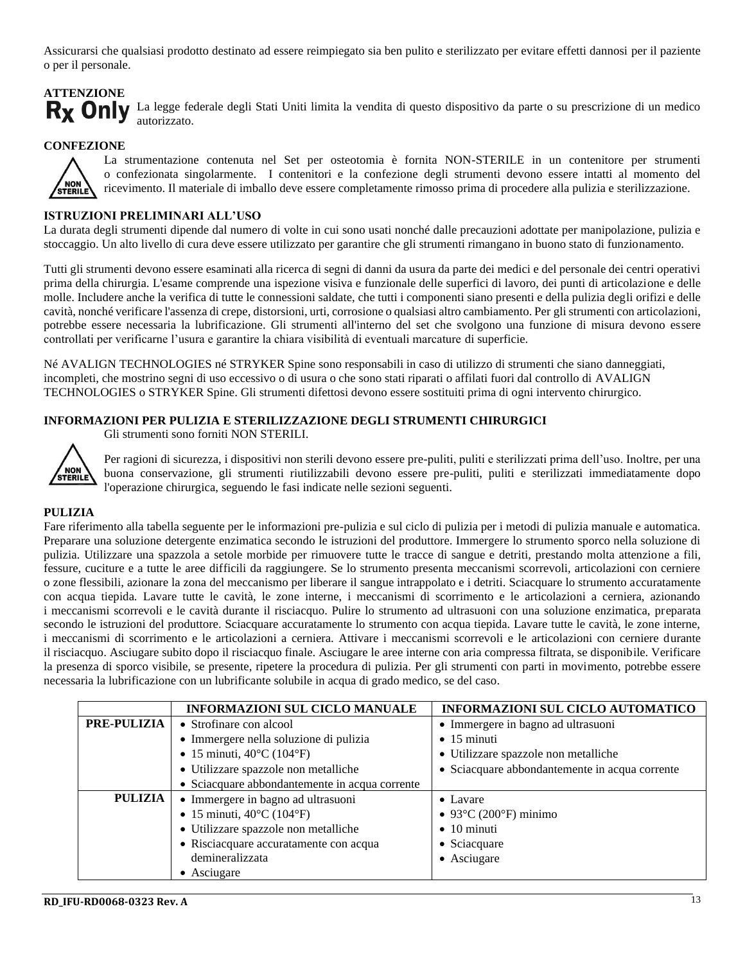Assicurarsi che qualsiasi prodotto destinato ad essere reimpiegato sia ben pulito e sterilizzato per evitare effetti dannosi per il paziente o per il personale.

## **ATTENZIONE**

Rx Only La legge federale degli Stati Uniti limita la vendita di questo dispositivo da parte o su prescrizione di un medico autorizzato.

#### **CONFEZIONE**



La strumentazione contenuta nel Set per osteotomia è fornita NON-STERILE in un contenitore per strumenti o confezionata singolarmente. I contenitori e la confezione degli strumenti devono essere intatti al momento del ricevimento. Il materiale di imballo deve essere completamente rimosso prima di procedere alla pulizia e sterilizzazione.

#### **ISTRUZIONI PRELIMINARI ALL'USO**

La durata degli strumenti dipende dal numero di volte in cui sono usati nonché dalle precauzioni adottate per manipolazione, pulizia e stoccaggio. Un alto livello di cura deve essere utilizzato per garantire che gli strumenti rimangano in buono stato di funzionamento.

Tutti gli strumenti devono essere esaminati alla ricerca di segni di danni da usura da parte dei medici e del personale dei centri operativi prima della chirurgia. L'esame comprende una ispezione visiva e funzionale delle superfici di lavoro, dei punti di articolazione e delle molle. Includere anche la verifica di tutte le connessioni saldate, che tutti i componenti siano presenti e della pulizia degli orifizi e delle cavità, nonché verificare l'assenza di crepe, distorsioni, urti, corrosione o qualsiasi altro cambiamento. Per gli strumenti con articolazioni, potrebbe essere necessaria la lubrificazione. Gli strumenti all'interno del set che svolgono una funzione di misura devono essere controllati per verificarne l'usura e garantire la chiara visibilità di eventuali marcature di superficie.

Né AVALIGN TECHNOLOGIES né STRYKER Spine sono responsabili in caso di utilizzo di strumenti che siano danneggiati, incompleti, che mostrino segni di uso eccessivo o di usura o che sono stati riparati o affilati fuori dal controllo di AVALIGN TECHNOLOGIES o STRYKER Spine. Gli strumenti difettosi devono essere sostituiti prima di ogni intervento chirurgico.

#### **INFORMAZIONI PER PULIZIA E STERILIZZAZIONE DEGLI STRUMENTI CHIRURGICI**



Gli strumenti sono forniti NON STERILI.

Per ragioni di sicurezza, i dispositivi non sterili devono essere pre-puliti, puliti e sterilizzati prima dell'uso. Inoltre, per una buona conservazione, gli strumenti riutilizzabili devono essere pre-puliti, puliti e sterilizzati immediatamente dopo l'operazione chirurgica, seguendo le fasi indicate nelle sezioni seguenti.

#### **PULIZIA**

Fare riferimento alla tabella seguente per le informazioni pre-pulizia e sul ciclo di pulizia per i metodi di pulizia manuale e automatica. Preparare una soluzione detergente enzimatica secondo le istruzioni del produttore. Immergere lo strumento sporco nella soluzione di pulizia. Utilizzare una spazzola a setole morbide per rimuovere tutte le tracce di sangue e detriti, prestando molta attenzione a fili, fessure, cuciture e a tutte le aree difficili da raggiungere. Se lo strumento presenta meccanismi scorrevoli, articolazioni con cerniere o zone flessibili, azionare la zona del meccanismo per liberare il sangue intrappolato e i detriti. Sciacquare lo strumento accuratamente con acqua tiepida. Lavare tutte le cavità, le zone interne, i meccanismi di scorrimento e le articolazioni a cerniera, azionando i meccanismi scorrevoli e le cavità durante il risciacquo. Pulire lo strumento ad ultrasuoni con una soluzione enzimatica, preparata secondo le istruzioni del produttore. Sciacquare accuratamente lo strumento con acqua tiepida. Lavare tutte le cavità, le zone interne, i meccanismi di scorrimento e le articolazioni a cerniera. Attivare i meccanismi scorrevoli e le articolazioni con cerniere durante il risciacquo. Asciugare subito dopo il risciacquo finale. Asciugare le aree interne con aria compressa filtrata, se disponibile. Verificare la presenza di sporco visibile, se presente, ripetere la procedura di pulizia. Per gli strumenti con parti in movimento, potrebbe essere necessaria la lubrificazione con un lubrificante solubile in acqua di grado medico, se del caso.

|                    | <b>INFORMAZIONI SUL CICLO MANUALE</b>          | <b>INFORMAZIONI SUL CICLO AUTOMATICO</b>                     |
|--------------------|------------------------------------------------|--------------------------------------------------------------|
| <b>PRE-PULIZIA</b> | • Strofinare con alcool                        | • Immergere in bagno ad ultrasuoni                           |
|                    | • Immergere nella soluzione di pulizia         | $\bullet$ 15 minuti                                          |
|                    | • 15 minuti, $40^{\circ}$ C (104 $^{\circ}$ F) | • Utilizzare spazzole non metalliche                         |
|                    | · Utilizzare spazzole non metalliche           | • Sciacquare abbondantemente in acqua corrente               |
|                    | • Sciacquare abbondantemente in acqua corrente |                                                              |
| PULIZIA            | · Immergere in bagno ad ultrasuoni             | $\bullet$ Lavare                                             |
|                    | • 15 minuti, $40^{\circ}$ C (104 $^{\circ}$ F) | $\bullet$ 93 $\rm{^{\circ}C}$ (200 $\rm{^{\circ}F}$ ) minimo |
|                    | · Utilizzare spazzole non metalliche           | $\bullet$ 10 minuti                                          |
|                    | • Risciacquare accuratamente con acqua         | • Sciacquare                                                 |
|                    | demineralizzata                                | • Asciugare                                                  |
|                    | $\bullet$ Asciugare                            |                                                              |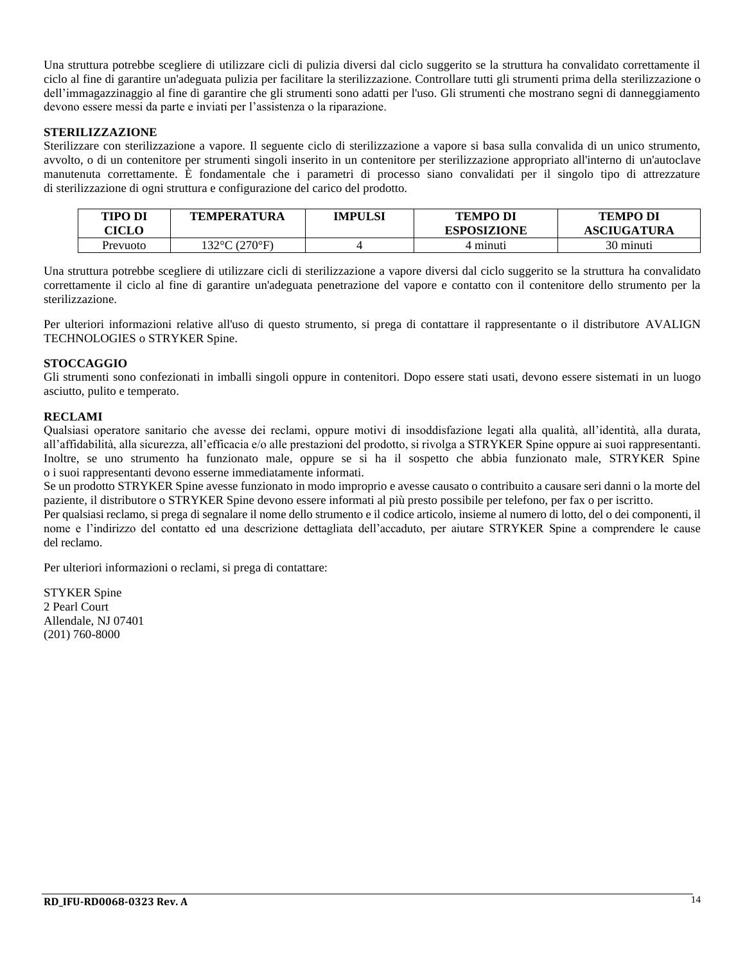Una struttura potrebbe scegliere di utilizzare cicli di pulizia diversi dal ciclo suggerito se la struttura ha convalidato correttamente il ciclo al fine di garantire un'adeguata pulizia per facilitare la sterilizzazione. Controllare tutti gli strumenti prima della sterilizzazione o dell'immagazzinaggio al fine di garantire che gli strumenti sono adatti per l'uso. Gli strumenti che mostrano segni di danneggiamento devono essere messi da parte e inviati per l'assistenza o la riparazione.

#### **STERILIZZAZIONE**

Sterilizzare con sterilizzazione a vapore. Il seguente ciclo di sterilizzazione a vapore si basa sulla convalida di un unico strumento, avvolto, o di un contenitore per strumenti singoli inserito in un contenitore per sterilizzazione appropriato all'interno di un'autoclave manutenuta correttamente. È fondamentale che i parametri di processo siano convalidati per il singolo tipo di attrezzature di sterilizzazione di ogni struttura e configurazione del carico del prodotto.

| <b>TIPO DI</b><br><b>ICLO</b> | TEMPERATURA                       | IMPULSI | <b>TEMPO DI</b><br><b>ESPOSIZIONE</b> | <b>TEMPO DI</b><br><b>ASCIUGATURA</b> |
|-------------------------------|-----------------------------------|---------|---------------------------------------|---------------------------------------|
| Prevuoto                      | $32^{\circ}$ C (270 $^{\circ}$ F) |         | 4 minuti                              | 30 minuti                             |

Una struttura potrebbe scegliere di utilizzare cicli di sterilizzazione a vapore diversi dal ciclo suggerito se la struttura ha convalidato correttamente il ciclo al fine di garantire un'adeguata penetrazione del vapore e contatto con il contenitore dello strumento per la sterilizzazione.

Per ulteriori informazioni relative all'uso di questo strumento, si prega di contattare il rappresentante o il distributore AVALIGN TECHNOLOGIES o STRYKER Spine.

#### **STOCCAGGIO**

Gli strumenti sono confezionati in imballi singoli oppure in contenitori. Dopo essere stati usati, devono essere sistemati in un luogo asciutto, pulito e temperato.

#### **RECLAMI**

Qualsiasi operatore sanitario che avesse dei reclami, oppure motivi di insoddisfazione legati alla qualità, all'identità, alla durata, all'affidabilità, alla sicurezza, all'efficacia e/o alle prestazioni del prodotto, si rivolga a STRYKER Spine oppure ai suoi rappresentanti. Inoltre, se uno strumento ha funzionato male, oppure se si ha il sospetto che abbia funzionato male, STRYKER Spine o i suoi rappresentanti devono esserne immediatamente informati.

Se un prodotto STRYKER Spine avesse funzionato in modo improprio e avesse causato o contribuito a causare seri danni o la morte del paziente, il distributore o STRYKER Spine devono essere informati al più presto possibile per telefono, per fax o per iscritto.

Per qualsiasi reclamo, si prega di segnalare il nome dello strumento e il codice articolo, insieme al numero di lotto, del o dei componenti, il nome e l'indirizzo del contatto ed una descrizione dettagliata dell'accaduto, per aiutare STRYKER Spine a comprendere le cause del reclamo.

Per ulteriori informazioni o reclami, si prega di contattare:

STYKER Spine 2 Pearl Court Allendale, NJ 07401 (201) 760-8000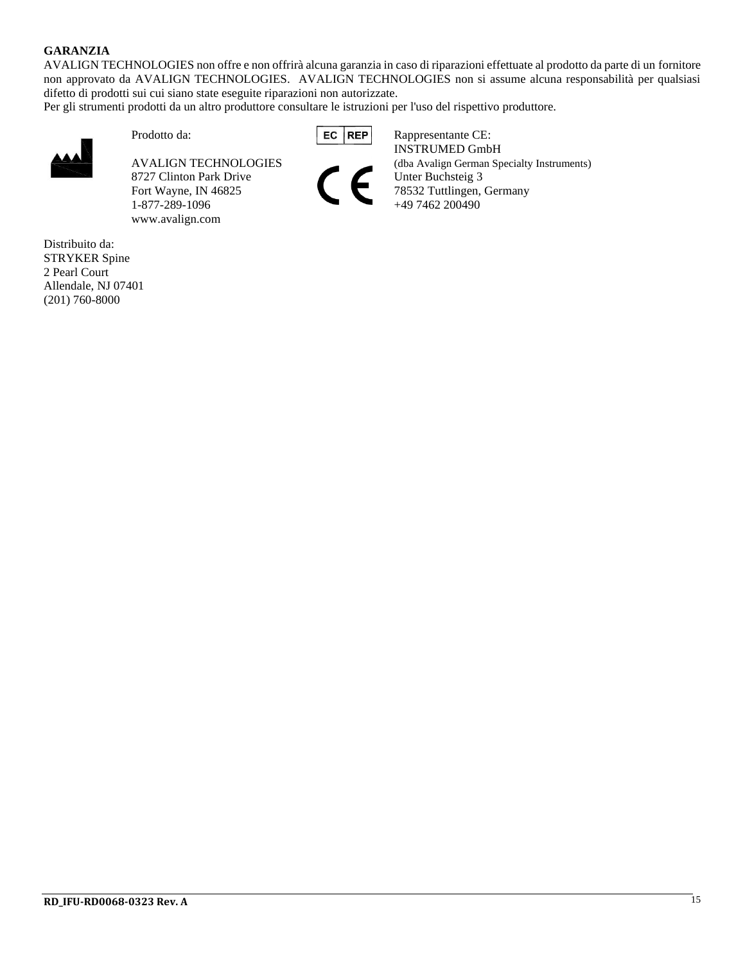#### **GARANZIA**

AVALIGN TECHNOLOGIES non offre e non offrirà alcuna garanzia in caso di riparazioni effettuate al prodotto da parte di un fornitore non approvato da AVALIGN TECHNOLOGIES. AVALIGN TECHNOLOGIES non si assume alcuna responsabilità per qualsiasi difetto di prodotti sui cui siano state eseguite riparazioni non autorizzate.

Per gli strumenti prodotti da un altro produttore consultare le istruzioni per l'uso del rispettivo produttore.



8727 Clinton Park Drive Unter Buchsteig 3 Fort Wayne, IN 46825 78532 Tuttlingen, Germany 1-877-289-1096 +49 7462 200490 www.avalign.com

Prodotto da: **EC REP Rappresentante CE:** INSTRUMED GmbH AVALIGN TECHNOLOGIES (dba Avalign German Specialty Instruments)

Distribuito da: STRYKER Spine 2 Pearl Court Allendale, NJ 07401 (201) 760-8000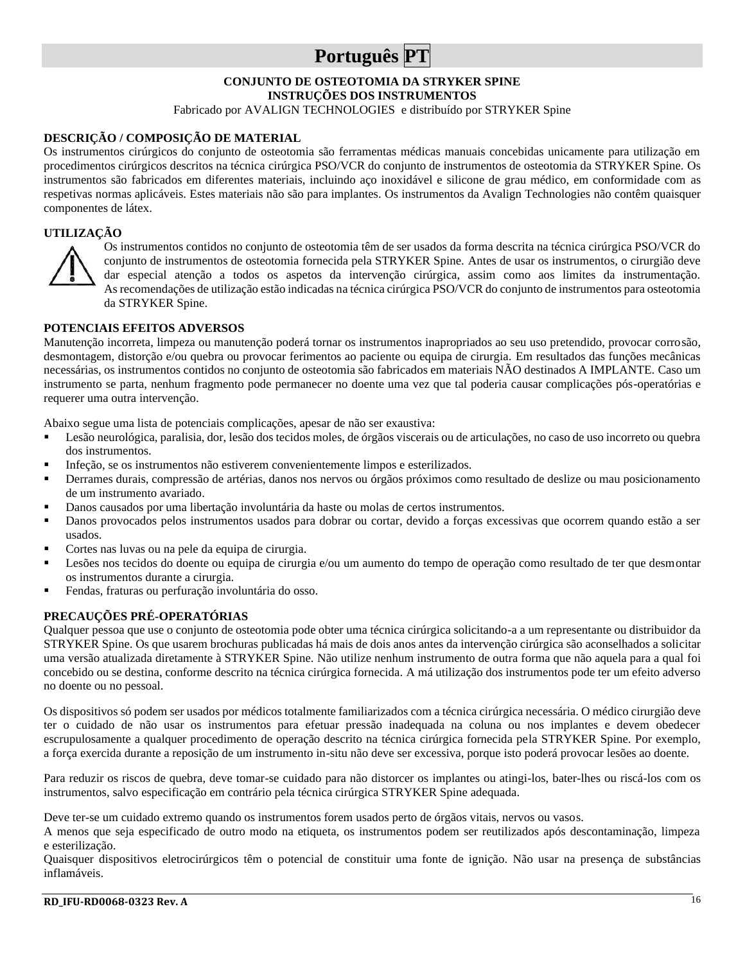## **Português PT**

## **CONJUNTO DE OSTEOTOMIA DA STRYKER SPINE**

**INSTRUÇÕES DOS INSTRUMENTOS**

Fabricado por AVALIGN TECHNOLOGIES e distribuído por STRYKER Spine

#### **DESCRIÇÃO / COMPOSIÇÃO DE MATERIAL**

Os instrumentos cirúrgicos do conjunto de osteotomia são ferramentas médicas manuais concebidas unicamente para utilização em procedimentos cirúrgicos descritos na técnica cirúrgica PSO/VCR do conjunto de instrumentos de osteotomia da STRYKER Spine. Os instrumentos são fabricados em diferentes materiais, incluindo aço inoxidável e silicone de grau médico, em conformidade com as respetivas normas aplicáveis. Estes materiais não são para implantes. Os instrumentos da Avalign Technologies não contêm quaisquer componentes de látex.

#### **UTILIZAÇÃO**



Os instrumentos contidos no conjunto de osteotomia têm de ser usados da forma descrita na técnica cirúrgica PSO/VCR do conjunto de instrumentos de osteotomia fornecida pela STRYKER Spine. Antes de usar os instrumentos, o cirurgião deve dar especial atenção a todos os aspetos da intervenção cirúrgica, assim como aos limites da instrumentação. As recomendações de utilização estão indicadas na técnica cirúrgica PSO/VCR do conjunto de instrumentos para osteotomia da STRYKER Spine.

#### **POTENCIAIS EFEITOS ADVERSOS**

Manutenção incorreta, limpeza ou manutenção poderá tornar os instrumentos inapropriados ao seu uso pretendido, provocar corrosão, desmontagem, distorção e/ou quebra ou provocar ferimentos ao paciente ou equipa de cirurgia. Em resultados das funções mecânicas necessárias, os instrumentos contidos no conjunto de osteotomia são fabricados em materiais NÃO destinados A IMPLANTE. Caso um instrumento se parta, nenhum fragmento pode permanecer no doente uma vez que tal poderia causar complicações pós-operatórias e requerer uma outra intervenção.

Abaixo segue uma lista de potenciais complicações, apesar de não ser exaustiva:

- Lesão neurológica, paralisia, dor, lesão dos tecidos moles, de órgãos viscerais ou de articulações, no caso de uso incorreto ou quebra dos instrumentos.
- Infeção, se os instrumentos não estiverem convenientemente limpos e esterilizados.
- Derrames durais, compressão de artérias, danos nos nervos ou órgãos próximos como resultado de deslize ou mau posicionamento de um instrumento avariado.
- Danos causados por uma libertação involuntária da haste ou molas de certos instrumentos.
- Danos provocados pelos instrumentos usados para dobrar ou cortar, devido a forças excessivas que ocorrem quando estão a ser usados.
- Cortes nas luvas ou na pele da equipa de cirurgia.
- Lesões nos tecidos do doente ou equipa de cirurgia e/ou um aumento do tempo de operação como resultado de ter que desmontar os instrumentos durante a cirurgia.
- Fendas, fraturas ou perfuração involuntária do osso.

#### **PRECAUÇÕES PRÉ-OPERATÓRIAS**

Qualquer pessoa que use o conjunto de osteotomia pode obter uma técnica cirúrgica solicitando-a a um representante ou distribuidor da STRYKER Spine. Os que usarem brochuras publicadas há mais de dois anos antes da intervenção cirúrgica são aconselhados a solicitar uma versão atualizada diretamente à STRYKER Spine. Não utilize nenhum instrumento de outra forma que não aquela para a qual foi concebido ou se destina, conforme descrito na técnica cirúrgica fornecida. A má utilização dos instrumentos pode ter um efeito adverso no doente ou no pessoal.

Os dispositivos só podem ser usados por médicos totalmente familiarizados com a técnica cirúrgica necessária. O médico cirurgião deve ter o cuidado de não usar os instrumentos para efetuar pressão inadequada na coluna ou nos implantes e devem obedecer escrupulosamente a qualquer procedimento de operação descrito na técnica cirúrgica fornecida pela STRYKER Spine. Por exemplo, a força exercida durante a reposição de um instrumento in-situ não deve ser excessiva, porque isto poderá provocar lesões ao doente.

Para reduzir os riscos de quebra, deve tomar-se cuidado para não distorcer os implantes ou atingi-los, bater-lhes ou riscá-los com os instrumentos, salvo especificação em contrário pela técnica cirúrgica STRYKER Spine adequada.

Deve ter-se um cuidado extremo quando os instrumentos forem usados perto de órgãos vitais, nervos ou vasos.

A menos que seja especificado de outro modo na etiqueta, os instrumentos podem ser reutilizados após descontaminação, limpeza e esterilização.

Quaisquer dispositivos eletrocirúrgicos têm o potencial de constituir uma fonte de ignição. Não usar na presença de substâncias inflamáveis.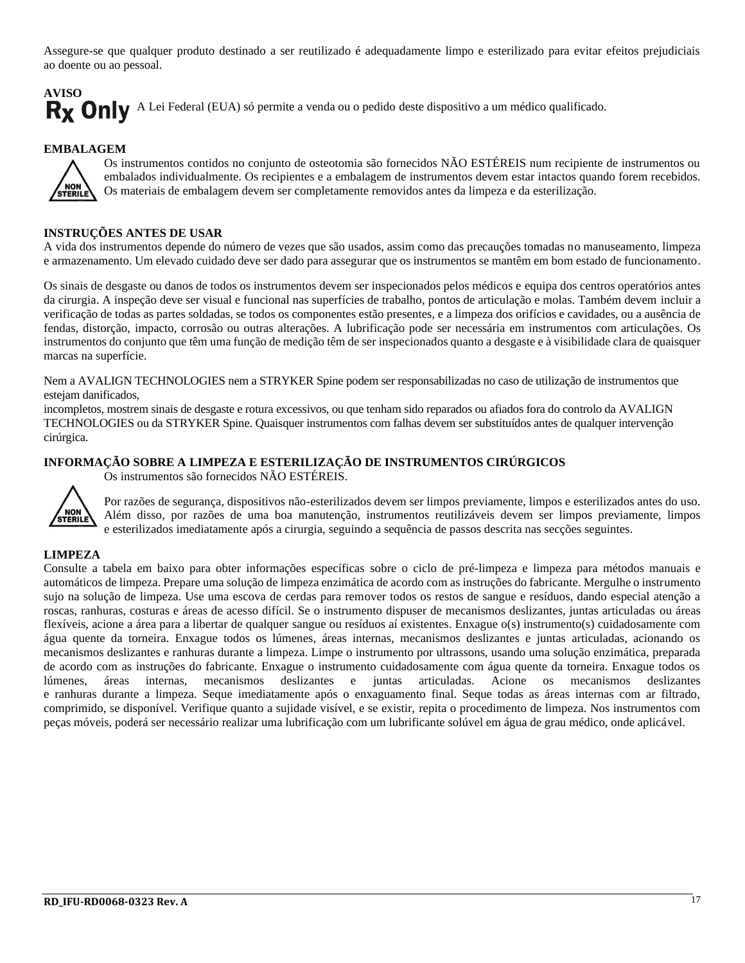Assegure-se que qualquer produto destinado a ser reutilizado é adequadamente limpo e esterilizado para evitar efeitos prejudiciais ao doente ou ao pessoal.

## **AVISO** Rx Only A Lei Federal (EUA) só permite a venda ou o pedido deste dispositivo a um médico qualificado.

#### **EMBALAGEM**



Os instrumentos contidos no conjunto de osteotomia são fornecidos NÃO ESTÉREIS num recipiente de instrumentos ou embalados individualmente. Os recipientes e a embalagem de instrumentos devem estar intactos quando forem recebidos. Os materiais de embalagem devem ser completamente removidos antes da limpeza e da esterilização.

#### **INSTRUÇÕES ANTES DE USAR**

A vida dos instrumentos depende do número de vezes que são usados, assim como das precauções tomadas no manuseamento, limpeza e armazenamento. Um elevado cuidado deve ser dado para assegurar que os instrumentos se mantêm em bom estado de funcionamento.

Os sinais de desgaste ou danos de todos os instrumentos devem ser inspecionados pelos médicos e equipa dos centros operatórios antes da cirurgia. A inspeção deve ser visual e funcional nas superfícies de trabalho, pontos de articulação e molas. Também devem incluir a verificação de todas as partes soldadas, se todos os componentes estão presentes, e a limpeza dos orifícios e cavidades, ou a ausência de fendas, distorção, impacto, corrosão ou outras alterações. A lubrificação pode ser necessária em instrumentos com articulações. Os instrumentos do conjunto que têm uma função de medição têm de ser inspecionados quanto a desgaste e à visibilidade clara de quaisquer marcas na superfície.

Nem a AVALIGN TECHNOLOGIES nem a STRYKER Spine podem ser responsabilizadas no caso de utilização de instrumentos que estejam danificados,

incompletos, mostrem sinais de desgaste e rotura excessivos, ou que tenham sido reparados ou afiados fora do controlo da AVALIGN TECHNOLOGIES ou da STRYKER Spine. Quaisquer instrumentos com falhas devem ser substituídos antes de qualquer intervenção cirúrgica.

#### **INFORMAÇÃO SOBRE A LIMPEZA E ESTERILIZAÇÃO DE INSTRUMENTOS CIRÚRGICOS**

Os instrumentos são fornecidos NÃO ESTÉREIS.



Por razões de segurança, dispositivos não-esterilizados devem ser limpos previamente, limpos e esterilizados antes do uso. Além disso, por razões de uma boa manutenção, instrumentos reutilizáveis devem ser limpos previamente, limpos e esterilizados imediatamente após a cirurgia, seguindo a sequência de passos descrita nas secções seguintes.

#### **LIMPEZA**

Consulte a tabela em baixo para obter informações específicas sobre o ciclo de pré-limpeza e limpeza para métodos manuais e automáticos de limpeza. Prepare uma solução de limpeza enzimática de acordo com as instruções do fabricante. Mergulhe o instrumento sujo na solução de limpeza. Use uma escova de cerdas para remover todos os restos de sangue e resíduos, dando especial atenção a roscas, ranhuras, costuras e áreas de acesso difícil. Se o instrumento dispuser de mecanismos deslizantes, juntas articuladas ou áreas flexíveis, acione a área para a libertar de qualquer sangue ou resíduos aí existentes. Enxague o(s) instrumento(s) cuidadosamente com água quente da torneira. Enxague todos os lúmenes, áreas internas, mecanismos deslizantes e juntas articuladas, acionando os mecanismos deslizantes e ranhuras durante a limpeza. Limpe o instrumento por ultrassons, usando uma solução enzimática, preparada de acordo com as instruções do fabricante. Enxague o instrumento cuidadosamente com água quente da torneira. Enxague todos os lúmenes, áreas internas, mecanismos deslizantes e juntas articuladas. Acione os mecanismos deslizantes e ranhuras durante a limpeza. Seque imediatamente após o enxaguamento final. Seque todas as áreas internas com ar filtrado, comprimido, se disponível. Verifique quanto a sujidade visível, e se existir, repita o procedimento de limpeza. Nos instrumentos com peças móveis, poderá ser necessário realizar uma lubrificação com um lubrificante solúvel em água de grau médico, onde aplicável.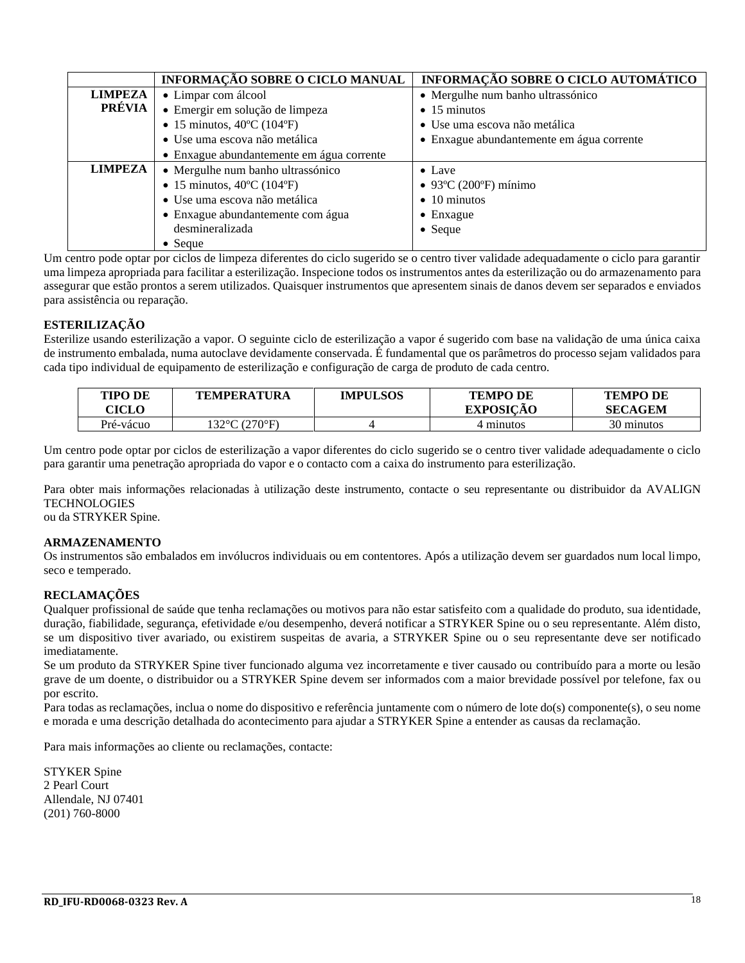|                | INFORMAÇÃO SOBRE O CICLO MANUAL                 | INFORMAÇÃO SOBRE O CICLO AUTOMÁTICO       |
|----------------|-------------------------------------------------|-------------------------------------------|
| <b>LIMPEZA</b> | • Limpar com álcool                             | • Mergulhe num banho ultrassónico         |
| PRÉVIA         | · Emergir em solução de limpeza                 | $\bullet$ 15 minutos                      |
|                | • 15 minutos, $40^{\circ}$ C (104 $^{\circ}$ F) | • Use uma escova não metálica             |
|                | · Use uma escova não metálica                   | • Enxague abundantemente em água corrente |
|                | • Enxague abundantemente em água corrente       |                                           |
| <b>LIMPEZA</b> | • Mergulhe num banho ultrassónico               | $\bullet$ Lave                            |
|                | • 15 minutos, $40^{\circ}$ C (104 $^{\circ}$ F) | $\bullet$ 93°C (200°F) mínimo             |
|                | · Use uma escova não metálica                   | $\bullet$ 10 minutos                      |
|                | • Enxague abundantemente com água               | $\bullet$ Enxague                         |
|                | desmineralizada                                 | $\bullet$ Seque                           |
|                | $\bullet$ Seque                                 |                                           |

Um centro pode optar por ciclos de limpeza diferentes do ciclo sugerido se o centro tiver validade adequadamente o ciclo para garantir uma limpeza apropriada para facilitar a esterilização. Inspecione todos os instrumentos antes da esterilização ou do armazenamento para assegurar que estão prontos a serem utilizados. Quaisquer instrumentos que apresentem sinais de danos devem ser separados e enviados para assistência ou reparação.

#### **ESTERILIZAÇÃO**

Esterilize usando esterilização a vapor. O seguinte ciclo de esterilização a vapor é sugerido com base na validação de uma única caixa de instrumento embalada, numa autoclave devidamente conservada. É fundamental que os parâmetros do processo sejam validados para cada tipo individual de equipamento de esterilização e configuração de carga de produto de cada centro.

| TIPO DE<br>CICLO | <b>TEMPERATURA</b> | <b>IMPULSOS</b> | <b>TEMPO DE</b><br><b>EXPOSICAO</b> | <b>TEMPO DE</b><br><b>SECAGEM</b> |
|------------------|--------------------|-----------------|-------------------------------------|-----------------------------------|
| Pré-vácuo        | 132°C (270°F).     |                 | 4 minutos                           | 30 minutos                        |

Um centro pode optar por ciclos de esterilização a vapor diferentes do ciclo sugerido se o centro tiver validade adequadamente o ciclo para garantir uma penetração apropriada do vapor e o contacto com a caixa do instrumento para esterilização.

Para obter mais informações relacionadas à utilização deste instrumento, contacte o seu representante ou distribuidor da AVALIGN **TECHNOLOGIES** 

ou da STRYKER Spine.

#### **ARMAZENAMENTO**

Os instrumentos são embalados em invólucros individuais ou em contentores. Após a utilização devem ser guardados num local limpo, seco e temperado.

#### **RECLAMAÇÕES**

Qualquer profissional de saúde que tenha reclamações ou motivos para não estar satisfeito com a qualidade do produto, sua identidade, duração, fiabilidade, segurança, efetividade e/ou desempenho, deverá notificar a STRYKER Spine ou o seu representante. Além disto, se um dispositivo tiver avariado, ou existirem suspeitas de avaria, a STRYKER Spine ou o seu representante deve ser notificado imediatamente.

Se um produto da STRYKER Spine tiver funcionado alguma vez incorretamente e tiver causado ou contribuído para a morte ou lesão grave de um doente, o distribuidor ou a STRYKER Spine devem ser informados com a maior brevidade possível por telefone, fax ou por escrito.

Para todas as reclamações, inclua o nome do dispositivo e referência juntamente com o número de lote do(s) componente(s), o seu nome e morada e uma descrição detalhada do acontecimento para ajudar a STRYKER Spine a entender as causas da reclamação.

Para mais informações ao cliente ou reclamações, contacte:

STYKER Spine 2 Pearl Court Allendale, NJ 07401 (201) 760-8000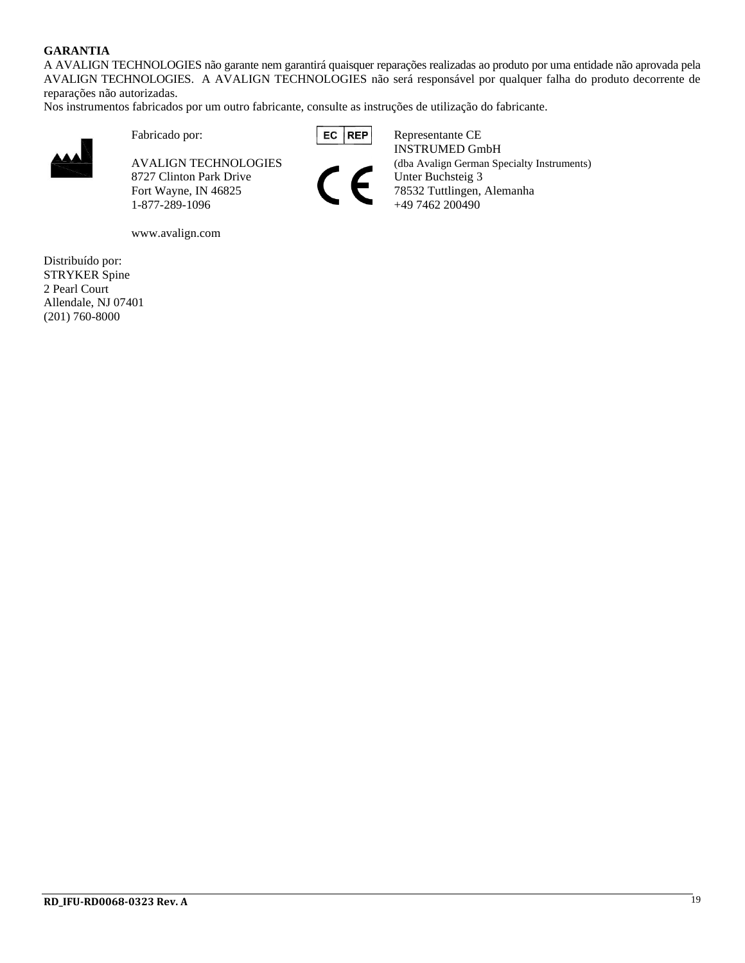#### **GARANTIA**

A AVALIGN TECHNOLOGIES não garante nem garantirá quaisquer reparações realizadas ao produto por uma entidade não aprovada pela AVALIGN TECHNOLOGIES. A AVALIGN TECHNOLOGIES não será responsável por qualquer falha do produto decorrente de reparações não autorizadas.

Nos instrumentos fabricados por um outro fabricante, consulte as instruções de utilização do fabricante.



8727 Clinton Park Drive Unter Buchsteig 3

www.avalign.com

Distribuído por: STRYKER Spine 2 Pearl Court Allendale, NJ 07401 (201) 760-8000

Fabricado por: **REP** Representante CE INSTRUMED GmbH AVALIGN TECHNOLOGIES (dba Avalign German Specialty Instruments) Fort Wayne, IN 46825 78532 Tuttlingen, Alemanha 1-877-289-1096 +49 7462 200490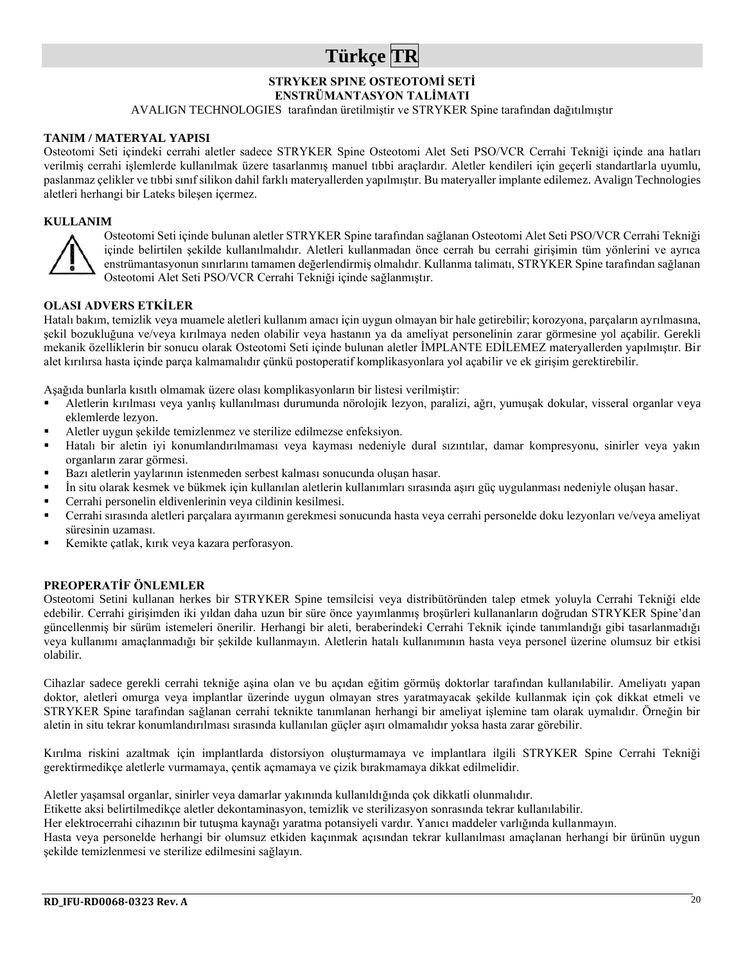## **Türkçe TR**

### **STRYKER SPINE OSTEOTOMİ SETİ**

**ENSTRÜMANTASYON TALİMATI**

AVALIGN TECHNOLOGIES tarafından üretilmiştir ve STRYKER Spine tarafından dağıtılmıştır

#### **TANIM / MATERYAL YAPISI**

Osteotomi Seti içindeki cerrahi aletler sadece STRYKER Spine Osteotomi Alet Seti PSO/VCR Cerrahi Tekniği içinde ana hatları verilmiş cerrahi işlemlerde kullanılmak üzere tasarlanmış manuel tıbbi araçlardır. Aletler kendileri için geçerli standartlarla uyumlu, paslanmaz çelikler ve tıbbi sınıf silikon dahil farklı materyallerden yapılmıştır. Bu materyaller implante edilemez. Avalign Technologies aletleri herhangi bir Lateks bileşen içermez.

#### **KULLANIM**



Osteotomi Seti içinde bulunan aletler STRYKER Spine tarafından sağlanan Osteotomi Alet Seti PSO/VCR Cerrahi Tekniği içinde belirtilen şekilde kullanılmalıdır. Aletleri kullanmadan önce cerrah bu cerrahi girişimin tüm yönlerini ve ayrıca enstrümantasyonun sınırlarını tamamen değerlendirmiş olmalıdır. Kullanma talimatı, STRYKER Spine tarafından sağlanan Osteotomi Alet Seti PSO/VCR Cerrahi Tekniği içinde sağlanmıştır.

#### **OLASI ADVERS ETKİLER**

Hatalı bakım, temizlik veya muamele aletleri kullanım amacı için uygun olmayan bir hale getirebilir; korozyona, parçaların ayrılmasına, şekil bozukluğuna ve/veya kırılmaya neden olabilir veya hastanın ya da ameliyat personelinin zarar görmesine yol açabilir. Gerekli mekanik özelliklerin bir sonucu olarak Osteotomi Seti içinde bulunan aletler İMPLANTE EDİLEMEZ materyallerden yapılmıştır. Bir alet kırılırsa hasta içinde parça kalmamalıdır çünkü postoperatif komplikasyonlara yol açabilir ve ek girişim gerektirebilir.

Aşağıda bunlarla kısıtlı olmamak üzere olası komplikasyonların bir listesi verilmiştir:

- Aletlerin kırılması veya yanlış kullanılması durumunda nörolojik lezyon, paralizi, ağrı, yumuşak dokular, visseral organlar veya eklemlerde lezyon.
- Aletler uygun şekilde temizlenmez ve sterilize edilmezse enfeksiyon.
- Hatalı bir aletin iyi konumlandırılmaması veya kayması nedeniyle dural sızıntılar, damar kompresyonu, sinirler veya yakın organların zarar görmesi.
- Bazı aletlerin yaylarının istenmeden serbest kalması sonucunda oluşan hasar.
- İn situ olarak kesmek ve bükmek için kullanılan aletlerin kullanımları sırasında aşırı güç uygulanması nedeniyle oluşan hasar.
- Cerrahi personelin eldivenlerinin veya cildinin kesilmesi.
- Cerrahi sırasında aletleri parçalara ayırmanın gerekmesi sonucunda hasta veya cerrahi personelde doku lezyonları ve/veya ameliyat süresinin uzaması.
- Kemikte çatlak, kırık veya kazara perforasyon.

#### **PREOPERATİF ÖNLEMLER**

Osteotomi Setini kullanan herkes bir STRYKER Spine temsilcisi veya distribütöründen talep etmek yoluyla Cerrahi Tekniği elde edebilir. Cerrahi girişimden iki yıldan daha uzun bir süre önce yayımlanmış broşürleri kullananların doğrudan STRYKER Spine'dan güncellenmiş bir sürüm istemeleri önerilir. Herhangi bir aleti, beraberindeki Cerrahi Teknik içinde tanımlandığı gibi tasarlanmadığı veya kullanımı amaçlanmadığı bir şekilde kullanmayın. Aletlerin hatalı kullanımının hasta veya personel üzerine olumsuz bir etkisi olabilir.

Cihazlar sadece gerekli cerrahi tekniğe aşina olan ve bu açıdan eğitim görmüş doktorlar tarafından kullanılabilir. Ameliyatı yapan doktor, aletleri omurga veya implantlar üzerinde uygun olmayan stres yaratmayacak şekilde kullanmak için çok dikkat etmeli ve STRYKER Spine tarafından sağlanan cerrahi teknikte tanımlanan herhangi bir ameliyat işlemine tam olarak uymalıdır. Örneğin bir aletin in situ tekrar konumlandırılması sırasında kullanılan güçler aşırı olmamalıdır yoksa hasta zarar görebilir.

Kırılma riskini azaltmak için implantlarda distorsiyon oluşturmamaya ve implantlara ilgili STRYKER Spine Cerrahi Tekniği gerektirmedikçe aletlerle vurmamaya, çentik açmamaya ve çizik bırakmamaya dikkat edilmelidir.

Aletler yaşamsal organlar, sinirler veya damarlar yakınında kullanıldığında çok dikkatli olunmalıdır.

Etikette aksi belirtilmedikçe aletler dekontaminasyon, temizlik ve sterilizasyon sonrasında tekrar kullanılabilir.

Her elektrocerrahi cihazının bir tutuşma kaynağı yaratma potansiyeli vardır. Yanıcı maddeler varlığında kullanmayın.

Hasta veya personelde herhangi bir olumsuz etkiden kaçınmak açısından tekrar kullanılması amaçlanan herhangi bir ürünün uygun şekilde temizlenmesi ve sterilize edilmesini sağlayın.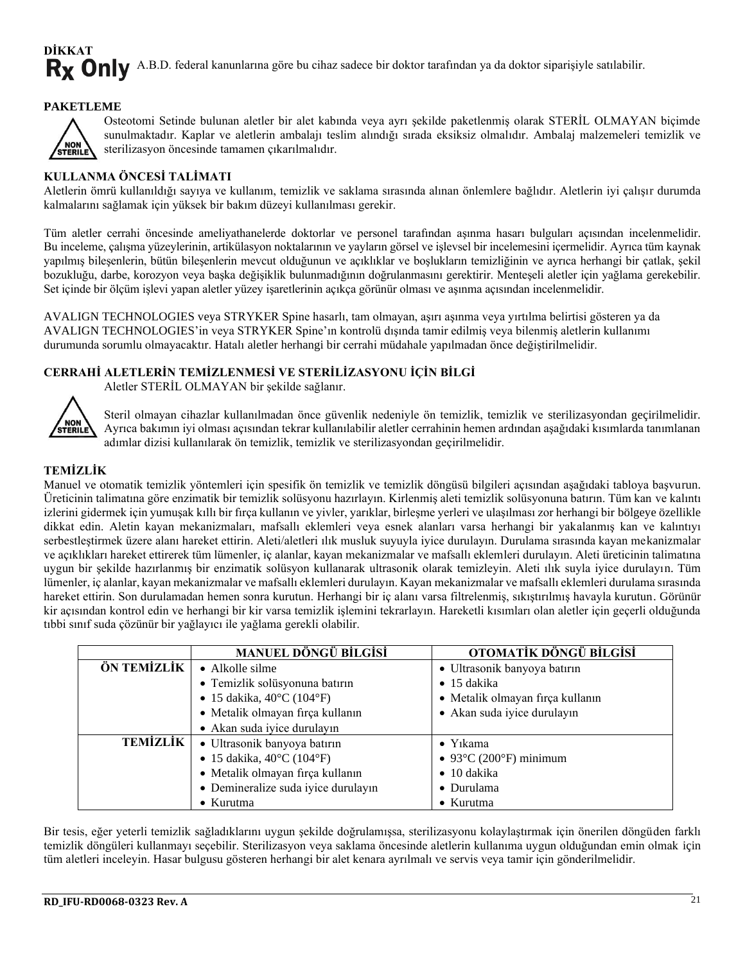## **DİKKAT** Rx Only A.B.D. federal kanunlarına göre bu cihaz sadece bir doktor tarafından ya da doktor siparişiyle satılabilir.

#### **PAKETLEME**



Osteotomi Setinde bulunan aletler bir alet kabında veya ayrı şekilde paketlenmiş olarak STERİL OLMAYAN biçimde sunulmaktadır. Kaplar ve aletlerin ambalajı teslim alındığı sırada eksiksiz olmalıdır. Ambalaj malzemeleri temizlik ve sterilizasyon öncesinde tamamen çıkarılmalıdır.

#### **KULLANMA ÖNCESİ TALİMATI**

Aletlerin ömrü kullanıldığı sayıya ve kullanım, temizlik ve saklama sırasında alınan önlemlere bağlıdır. Aletlerin iyi çalışır durumda kalmalarını sağlamak için yüksek bir bakım düzeyi kullanılması gerekir.

Tüm aletler cerrahi öncesinde ameliyathanelerde doktorlar ve personel tarafından aşınma hasarı bulguları açısından incelenmelidir. Bu inceleme, çalışma yüzeylerinin, artikülasyon noktalarının ve yayların görsel ve işlevsel bir incelemesini içermelidir. Ayrıca tüm kaynak yapılmış bileşenlerin, bütün bileşenlerin mevcut olduğunun ve açıklıklar ve boşlukların temizliğinin ve ayrıca herhangi bir çatlak, şekil bozukluğu, darbe, korozyon veya başka değişiklik bulunmadığının doğrulanmasını gerektirir. Menteşeli aletler için yağlama gerekebilir. Set içinde bir ölçüm işlevi yapan aletler yüzey işaretlerinin açıkça görünür olması ve aşınma açısından incelenmelidir.

AVALIGN TECHNOLOGIES veya STRYKER Spine hasarlı, tam olmayan, aşırı aşınma veya yırtılma belirtisi gösteren ya da AVALIGN TECHNOLOGIES'in veya STRYKER Spine'ın kontrolü dışında tamir edilmiş veya bilenmiş aletlerin kullanımı durumunda sorumlu olmayacaktır. Hatalı aletler herhangi bir cerrahi müdahale yapılmadan önce değiştirilmelidir.

#### **CERRAHİ ALETLERİN TEMİZLENMESİ VE STERİLİZASYONU İÇİN BİLGİ**

Aletler STERİL OLMAYAN bir şekilde sağlanır.



Steril olmayan cihazlar kullanılmadan önce güvenlik nedeniyle ön temizlik, temizlik ve sterilizasyondan geçirilmelidir. Ayrıca bakımın iyi olması açısından tekrar kullanılabilir aletler cerrahinin hemen ardından aşağıdaki kısımlarda tanımlanan adımlar dizisi kullanılarak ön temizlik, temizlik ve sterilizasyondan geçirilmelidir.

#### **TEMİZLİK**

Manuel ve otomatik temizlik yöntemleri için spesifik ön temizlik ve temizlik döngüsü bilgileri açısından aşağıdaki tabloya başvurun. Üreticinin talimatına göre enzimatik bir temizlik solüsyonu hazırlayın. Kirlenmiş aleti temizlik solüsyonuna batırın. Tüm kan ve kalıntı izlerini gidermek için yumuşak kıllı bir fırça kullanın ve yivler, yarıklar, birleşme yerleri ve ulaşılması zor herhangi bir bölgeye özellikle dikkat edin. Aletin kayan mekanizmaları, mafsallı eklemleri veya esnek alanları varsa herhangi bir yakalanmış kan ve kalıntıyı serbestleştirmek üzere alanı hareket ettirin. Aleti/aletleri ılık musluk suyuyla iyice durulayın. Durulama sırasında kayan mekanizmalar ve açıklıkları hareket ettirerek tüm lümenler, iç alanlar, kayan mekanizmalar ve mafsallı eklemleri durulayın. Aleti üreticinin talimatına uygun bir şekilde hazırlanmış bir enzimatik solüsyon kullanarak ultrasonik olarak temizleyin. Aleti ılık suyla iyice durulayın. Tüm lümenler, iç alanlar, kayan mekanizmalar ve mafsallı eklemleri durulayın. Kayan mekanizmalar ve mafsallı eklemleri durulama sırasında hareket ettirin. Son durulamadan hemen sonra kurutun. Herhangi bir iç alanı varsa filtrelenmiş, sıkıştırılmış havayla kurutun. Görünür kir açısından kontrol edin ve herhangi bir kir varsa temizlik işlemini tekrarlayın. Hareketli kısımları olan aletler için geçerli olduğunda tıbbi sınıf suda çözünür bir yağlayıcı ile yağlama gerekli olabilir.

|                 | <b>MANUEL DÖNGÜ BİLGİSİ</b>                    | OTOMATİK DÖNGÜ BİLGİSİ           |
|-----------------|------------------------------------------------|----------------------------------|
| ÖN TEMİZLİK     | $\bullet$ Alkolle silme                        | · Ultrasonik banyoya batırın     |
|                 | · Temizlik solüsyonuna batırın                 | $\bullet$ 15 dakika              |
|                 | • 15 dakika, $40^{\circ}$ C (104 $^{\circ}$ F) | · Metalik olmayan fırça kullanın |
|                 | · Metalik olmayan fırça kullanın               | • Akan suda iyice durulayın      |
|                 | • Akan suda iyice durulayın                    |                                  |
| <b>TEMİZLİK</b> | · Ultrasonik banyoya batırın                   | $\bullet$ Y <sub>1</sub> kama    |
|                 | • 15 dakika, $40^{\circ}$ C (104 $^{\circ}$ F) | $\bullet$ 93°C (200°F) minimum   |
|                 | · Metalik olmayan fırça kullanın               | $\bullet$ 10 dakika              |
|                 | • Demineralize suda iyice durulayın            | • Durulama                       |
|                 | $\bullet$ Kurutma                              | $\bullet$ Kurutma                |

Bir tesis, eğer yeterli temizlik sağladıklarını uygun şekilde doğrulamışsa, sterilizasyonu kolaylaştırmak için önerilen döngüden farklı temizlik döngüleri kullanmayı seçebilir. Sterilizasyon veya saklama öncesinde aletlerin kullanıma uygun olduğundan emin olmak için tüm aletleri inceleyin. Hasar bulgusu gösteren herhangi bir alet kenara ayrılmalı ve servis veya tamir için gönderilmelidir.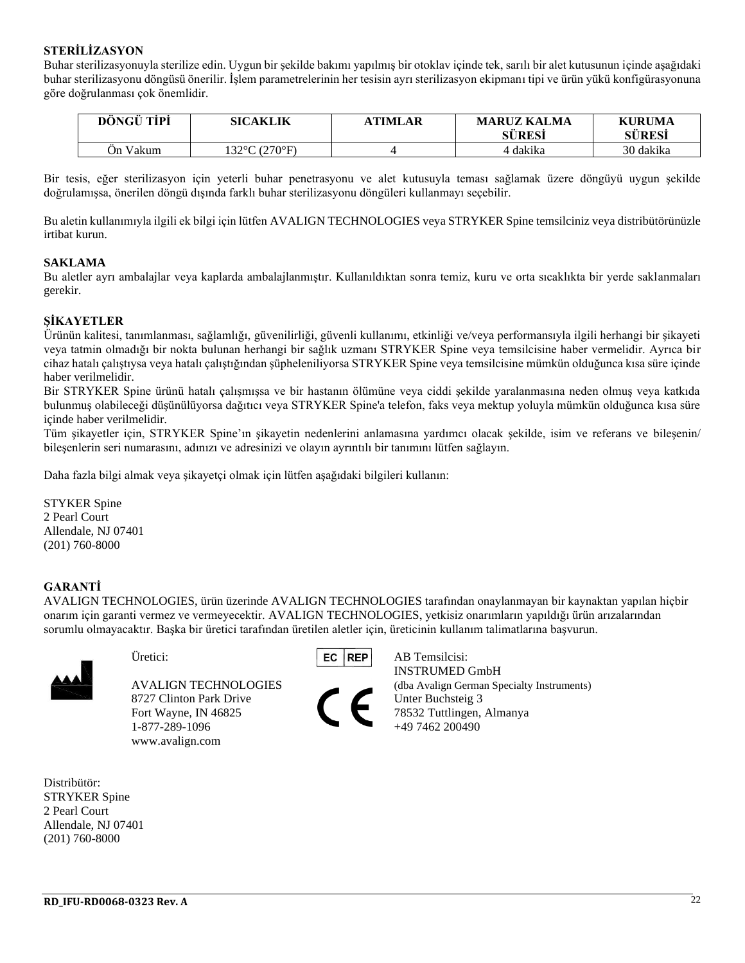#### **STERİLİZASYON**

Buhar sterilizasyonuyla sterilize edin. Uygun bir şekilde bakımı yapılmış bir otoklav içinde tek, sarılı bir alet kutusunun içinde aşağıdaki buhar sterilizasyonu döngüsü önerilir. İşlem parametrelerinin her tesisin ayrı sterilizasyon ekipmanı tipi ve ürün yükü konfigürasyonuna göre doğrulanması çok önemlidir.

| <b>DONGU TIPI</b> | <b>SICAKLIK</b> | <b>\TIMLAR</b> | <b>MARUZ KALMA</b><br><b>SÜRESİ</b> | <b>KURUMA</b><br>SÜRESİ |
|-------------------|-----------------|----------------|-------------------------------------|-------------------------|
| Ən Vakum          | 132°C (270°F).  |                | 4 dakika                            | 30 dakika               |

Bir tesis, eğer sterilizasyon için yeterli buhar penetrasyonu ve alet kutusuyla teması sağlamak üzere döngüyü uygun şekilde doğrulamışsa, önerilen döngü dışında farklı buhar sterilizasyonu döngüleri kullanmayı seçebilir.

Bu aletin kullanımıyla ilgili ek bilgi için lütfen AVALIGN TECHNOLOGIES veya STRYKER Spine temsilciniz veya distribütörünüzle irtibat kurun.

#### **SAKLAMA**

Bu aletler ayrı ambalajlar veya kaplarda ambalajlanmıştır. Kullanıldıktan sonra temiz, kuru ve orta sıcaklıkta bir yerde saklanmaları gerekir.

#### **ŞİKAYETLER**

Ürünün kalitesi, tanımlanması, sağlamlığı, güvenilirliği, güvenli kullanımı, etkinliği ve/veya performansıyla ilgili herhangi bir şikayeti veya tatmin olmadığı bir nokta bulunan herhangi bir sağlık uzmanı STRYKER Spine veya temsilcisine haber vermelidir. Ayrıca bir cihaz hatalı çalıştıysa veya hatalı çalıştığından şüpheleniliyorsa STRYKER Spine veya temsilcisine mümkün olduğunca kısa süre içinde haber verilmelidir.

Bir STRYKER Spine ürünü hatalı çalışmışsa ve bir hastanın ölümüne veya ciddi şekilde yaralanmasına neden olmuş veya katkıda bulunmuş olabileceği düşünülüyorsa dağıtıcı veya STRYKER Spine'a telefon, faks veya mektup yoluyla mümkün olduğunca kısa süre içinde haber verilmelidir.

Tüm şikayetler için, STRYKER Spine'ın şikayetin nedenlerini anlamasına yardımcı olacak şekilde, isim ve referans ve bileşenin/ bileşenlerin seri numarasını, adınızı ve adresinizi ve olayın ayrıntılı bir tanımını lütfen sağlayın.

Daha fazla bilgi almak veya şikayetçi olmak için lütfen aşağıdaki bilgileri kullanın:

STYKER Spine 2 Pearl Court Allendale, NJ 07401 (201) 760-8000

#### **GARANTİ**

AVALIGN TECHNOLOGIES, ürün üzerinde AVALIGN TECHNOLOGIES tarafından onaylanmayan bir kaynaktan yapılan hiçbir onarım için garanti vermez ve vermeyecektir. AVALIGN TECHNOLOGIES, yetkisiz onarımların yapıldığı ürün arızalarından sorumlu olmayacaktır. Başka bir üretici tarafından üretilen aletler için, üreticinin kullanım talimatlarına başvurun.



8727 Clinton Park Drive Unter Buchsteig 3 Fort Wayne, IN 46825 78532 Tuttlingen, Almanya 1-877-289-1096 +49 7462 200490 www.avalign.com



INSTRUMED GmbH AVALIGN TECHNOLOGIES (dba Avalign German Specialty Instruments)

Distribütör: STRYKER Spine 2 Pearl Court Allendale, NJ 07401 (201) 760-8000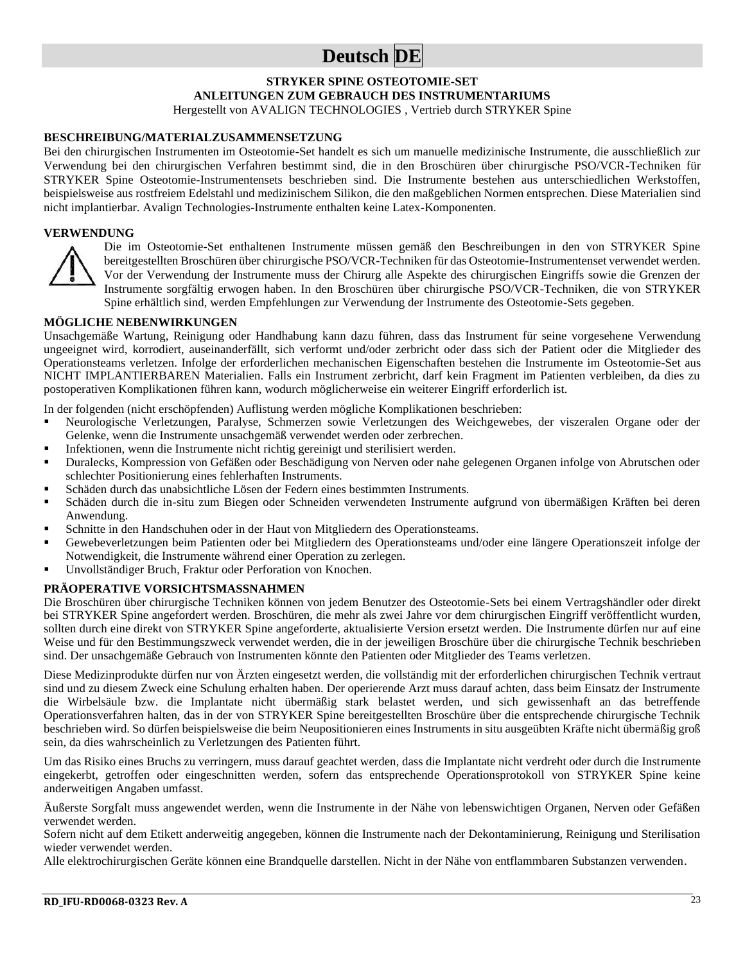## **Deutsch DE**

#### **STRYKER SPINE OSTEOTOMIE-SET ANLEITUNGEN ZUM GEBRAUCH DES INSTRUMENTARIUMS** Hergestellt von AVALIGN TECHNOLOGIES , Vertrieb durch STRYKER Spine

#### **BESCHREIBUNG/MATERIALZUSAMMENSETZUNG**

Bei den chirurgischen Instrumenten im Osteotomie-Set handelt es sich um manuelle medizinische Instrumente, die ausschließlich zur Verwendung bei den chirurgischen Verfahren bestimmt sind, die in den Broschüren über chirurgische PSO/VCR-Techniken für STRYKER Spine Osteotomie-Instrumentensets beschrieben sind. Die Instrumente bestehen aus unterschiedlichen Werkstoffen, beispielsweise aus rostfreiem Edelstahl und medizinischem Silikon, die den maßgeblichen Normen entsprechen. Diese Materialien sind nicht implantierbar. Avalign Technologies-Instrumente enthalten keine Latex-Komponenten.

#### **VERWENDUNG**



Die im Osteotomie-Set enthaltenen Instrumente müssen gemäß den Beschreibungen in den von STRYKER Spine bereitgestellten Broschüren über chirurgische PSO/VCR-Techniken für das Osteotomie-Instrumentenset verwendet werden. Vor der Verwendung der Instrumente muss der Chirurg alle Aspekte des chirurgischen Eingriffs sowie die Grenzen der Instrumente sorgfältig erwogen haben. In den Broschüren über chirurgische PSO/VCR-Techniken, die von STRYKER Spine erhältlich sind, werden Empfehlungen zur Verwendung der Instrumente des Osteotomie-Sets gegeben.

#### **MÖGLICHE NEBENWIRKUNGEN**

Unsachgemäße Wartung, Reinigung oder Handhabung kann dazu führen, dass das Instrument für seine vorgesehene Verwendung ungeeignet wird, korrodiert, auseinanderfällt, sich verformt und/oder zerbricht oder dass sich der Patient oder die Mitglieder des Operationsteams verletzen. Infolge der erforderlichen mechanischen Eigenschaften bestehen die Instrumente im Osteotomie-Set aus NICHT IMPLANTIERBAREN Materialien. Falls ein Instrument zerbricht, darf kein Fragment im Patienten verbleiben, da dies zu postoperativen Komplikationen führen kann, wodurch möglicherweise ein weiterer Eingriff erforderlich ist.

In der folgenden (nicht erschöpfenden) Auflistung werden mögliche Komplikationen beschrieben:

- Neurologische Verletzungen, Paralyse, Schmerzen sowie Verletzungen des Weichgewebes, der viszeralen Organe oder der Gelenke, wenn die Instrumente unsachgemäß verwendet werden oder zerbrechen.
- Infektionen, wenn die Instrumente nicht richtig gereinigt und sterilisiert werden.
- Duralecks, Kompression von Gefäßen oder Beschädigung von Nerven oder nahe gelegenen Organen infolge von Abrutschen oder schlechter Positionierung eines fehlerhaften Instruments.
- Schäden durch das unabsichtliche Lösen der Federn eines bestimmten Instruments.
- Schäden durch die in-situ zum Biegen oder Schneiden verwendeten Instrumente aufgrund von übermäßigen Kräften bei deren Anwendung.
- Schnitte in den Handschuhen oder in der Haut von Mitgliedern des Operationsteams.
- Gewebeverletzungen beim Patienten oder bei Mitgliedern des Operationsteams und/oder eine längere Operationszeit infolge der Notwendigkeit, die Instrumente während einer Operation zu zerlegen.
- Unvollständiger Bruch, Fraktur oder Perforation von Knochen.

#### **PRÄOPERATIVE VORSICHTSMASSNAHMEN**

Die Broschüren über chirurgische Techniken können von jedem Benutzer des Osteotomie-Sets bei einem Vertragshändler oder direkt bei STRYKER Spine angefordert werden. Broschüren, die mehr als zwei Jahre vor dem chirurgischen Eingriff veröffentlicht wurden, sollten durch eine direkt von STRYKER Spine angeforderte, aktualisierte Version ersetzt werden. Die Instrumente dürfen nur auf eine Weise und für den Bestimmungszweck verwendet werden, die in der jeweiligen Broschüre über die chirurgische Technik beschrieben sind. Der unsachgemäße Gebrauch von Instrumenten könnte den Patienten oder Mitglieder des Teams verletzen.

Diese Medizinprodukte dürfen nur von Ärzten eingesetzt werden, die vollständig mit der erforderlichen chirurgischen Technik vertraut sind und zu diesem Zweck eine Schulung erhalten haben. Der operierende Arzt muss darauf achten, dass beim Einsatz der Instrumente die Wirbelsäule bzw. die Implantate nicht übermäßig stark belastet werden, und sich gewissenhaft an das betreffende Operationsverfahren halten, das in der von STRYKER Spine bereitgestellten Broschüre über die entsprechende chirurgische Technik beschrieben wird. So dürfen beispielsweise die beim Neupositionieren eines Instruments in situ ausgeübten Kräfte nicht übermäßig groß sein, da dies wahrscheinlich zu Verletzungen des Patienten führt.

Um das Risiko eines Bruchs zu verringern, muss darauf geachtet werden, dass die Implantate nicht verdreht oder durch die Instrumente eingekerbt, getroffen oder eingeschnitten werden, sofern das entsprechende Operationsprotokoll von STRYKER Spine keine anderweitigen Angaben umfasst.

Äußerste Sorgfalt muss angewendet werden, wenn die Instrumente in der Nähe von lebenswichtigen Organen, Nerven oder Gefäßen verwendet werden.

Sofern nicht auf dem Etikett anderweitig angegeben, können die Instrumente nach der Dekontaminierung, Reinigung und Sterilisation wieder verwendet werden.

Alle elektrochirurgischen Geräte können eine Brandquelle darstellen. Nicht in der Nähe von entflammbaren Substanzen verwenden.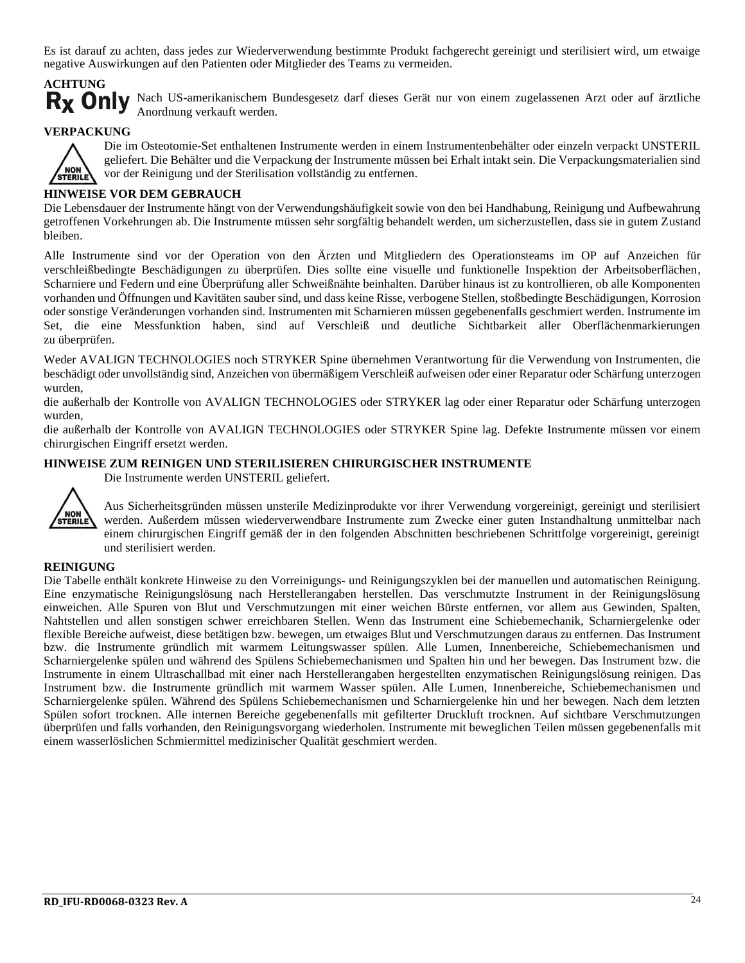Es ist darauf zu achten, dass jedes zur Wiederverwendung bestimmte Produkt fachgerecht gereinigt und sterilisiert wird, um etwaige negative Auswirkungen auf den Patienten oder Mitglieder des Teams zu vermeiden.

# **ACHTUNG**

Rx Only Nach US-amerikanischem Bundesgesetz darf dieses Gerät nur von einem zugelassenen Arzt oder auf ärztliche Anordnung verkauft werden.

#### **VERPACKUNG**



Die im Osteotomie-Set enthaltenen Instrumente werden in einem Instrumentenbehälter oder einzeln verpackt UNSTERIL geliefert. Die Behälter und die Verpackung der Instrumente müssen bei Erhalt intakt sein. Die Verpackungsmaterialien sind vor der Reinigung und der Sterilisation vollständig zu entfernen.

#### **HINWEISE VOR DEM GEBRAUCH**

Die Lebensdauer der Instrumente hängt von der Verwendungshäufigkeit sowie von den bei Handhabung, Reinigung und Aufbewahrung getroffenen Vorkehrungen ab. Die Instrumente müssen sehr sorgfältig behandelt werden, um sicherzustellen, dass sie in gutem Zustand bleiben.

Alle Instrumente sind vor der Operation von den Ärzten und Mitgliedern des Operationsteams im OP auf Anzeichen für verschleißbedingte Beschädigungen zu überprüfen. Dies sollte eine visuelle und funktionelle Inspektion der Arbeitsoberflächen, Scharniere und Federn und eine Überprüfung aller Schweißnähte beinhalten. Darüber hinaus ist zu kontrollieren, ob alle Komponenten vorhanden und Öffnungen und Kavitäten sauber sind, und dass keine Risse, verbogene Stellen, stoßbedingte Beschädigungen, Korrosion oder sonstige Veränderungen vorhanden sind. Instrumenten mit Scharnieren müssen gegebenenfalls geschmiert werden. Instrumente im Set, die eine Messfunktion haben, sind auf Verschleiß und deutliche Sichtbarkeit aller Oberflächenmarkierungen zu überprüfen.

Weder AVALIGN TECHNOLOGIES noch STRYKER Spine übernehmen Verantwortung für die Verwendung von Instrumenten, die beschädigt oder unvollständig sind, Anzeichen von übermäßigem Verschleiß aufweisen oder einer Reparatur oder Schärfung unterzogen wurden,

die außerhalb der Kontrolle von AVALIGN TECHNOLOGIES oder STRYKER lag oder einer Reparatur oder Schärfung unterzogen wurden,

die außerhalb der Kontrolle von AVALIGN TECHNOLOGIES oder STRYKER Spine lag. Defekte Instrumente müssen vor einem chirurgischen Eingriff ersetzt werden.

#### **HINWEISE ZUM REINIGEN UND STERILISIEREN CHIRURGISCHER INSTRUMENTE**



Die Instrumente werden UNSTERIL geliefert.

Aus Sicherheitsgründen müssen unsterile Medizinprodukte vor ihrer Verwendung vorgereinigt, gereinigt und sterilisiert werden. Außerdem müssen wiederverwendbare Instrumente zum Zwecke einer guten Instandhaltung unmittelbar nach einem chirurgischen Eingriff gemäß der in den folgenden Abschnitten beschriebenen Schrittfolge vorgereinigt, gereinigt und sterilisiert werden.

#### **REINIGUNG**

Die Tabelle enthält konkrete Hinweise zu den Vorreinigungs- und Reinigungszyklen bei der manuellen und automatischen Reinigung. Eine enzymatische Reinigungslösung nach Herstellerangaben herstellen. Das verschmutzte Instrument in der Reinigungslösung einweichen. Alle Spuren von Blut und Verschmutzungen mit einer weichen Bürste entfernen, vor allem aus Gewinden, Spalten, Nahtstellen und allen sonstigen schwer erreichbaren Stellen. Wenn das Instrument eine Schiebemechanik, Scharniergelenke oder flexible Bereiche aufweist, diese betätigen bzw. bewegen, um etwaiges Blut und Verschmutzungen daraus zu entfernen. Das Instrument bzw. die Instrumente gründlich mit warmem Leitungswasser spülen. Alle Lumen, Innenbereiche, Schiebemechanismen und Scharniergelenke spülen und während des Spülens Schiebemechanismen und Spalten hin und her bewegen. Das Instrument bzw. die Instrumente in einem Ultraschallbad mit einer nach Herstellerangaben hergestellten enzymatischen Reinigungslösung reinigen. Das Instrument bzw. die Instrumente gründlich mit warmem Wasser spülen. Alle Lumen, Innenbereiche, Schiebemechanismen und Scharniergelenke spülen. Während des Spülens Schiebemechanismen und Scharniergelenke hin und her bewegen. Nach dem letzten Spülen sofort trocknen. Alle internen Bereiche gegebenenfalls mit gefilterter Druckluft trocknen. Auf sichtbare Verschmutzungen überprüfen und falls vorhanden, den Reinigungsvorgang wiederholen. Instrumente mit beweglichen Teilen müssen gegebenenfalls mit einem wasserlöslichen Schmiermittel medizinischer Qualität geschmiert werden.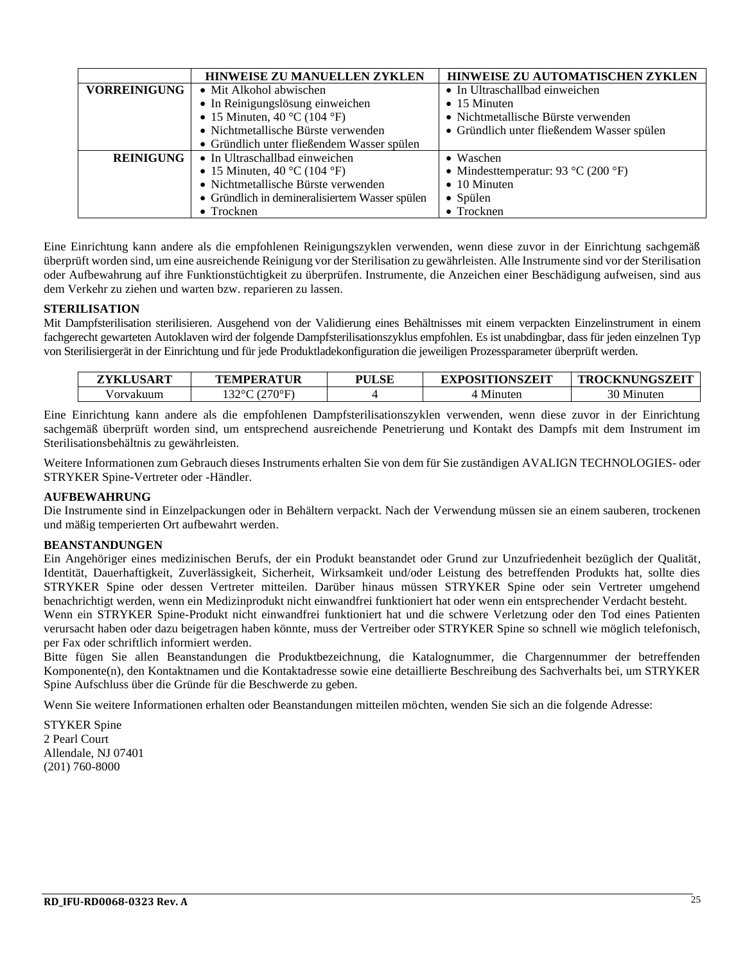|                     | <b>HINWEISE ZU AUTOMATISCHEN ZYKLEN</b><br><b>HINWEISE ZU MANUELLEN ZYKLEN</b> |                                            |  |
|---------------------|--------------------------------------------------------------------------------|--------------------------------------------|--|
| <b>VORREINIGUNG</b> | • Mit Alkohol abwischen                                                        | • In Ultraschallbad einweichen             |  |
|                     | • In Reinigungslösung einweichen                                               | $\bullet$ 15 Minuten                       |  |
|                     | • 15 Minuten, 40 °C (104 °F)                                                   | • Nichtmetallische Bürste verwenden        |  |
|                     | • Nichtmetallische Bürste verwenden                                            | • Gründlich unter fließendem Wasser spülen |  |
|                     | • Gründlich unter fließendem Wasser spülen                                     |                                            |  |
| <b>REINIGUNG</b>    | • In Ultraschallbad einweichen                                                 | • Waschen                                  |  |
|                     | • 15 Minuten, 40 °C (104 °F)                                                   | • Mindesttemperatur: 93 °C (200 °F)        |  |
|                     | • Nichtmetallische Bürste verwenden                                            | $\bullet$ 10 Minuten                       |  |
|                     | • Gründlich in demineralisiertem Wasser spülen                                 | $\bullet$ Spülen                           |  |
|                     | $\bullet$ Trocknen                                                             | • Trocknen                                 |  |

Eine Einrichtung kann andere als die empfohlenen Reinigungszyklen verwenden, wenn diese zuvor in der Einrichtung sachgemäß überprüft worden sind, um eine ausreichende Reinigung vor der Sterilisation zu gewährleisten. Alle Instrumente sind vor der Sterilisation oder Aufbewahrung auf ihre Funktionstüchtigkeit zu überprüfen. Instrumente, die Anzeichen einer Beschädigung aufweisen, sind aus dem Verkehr zu ziehen und warten bzw. reparieren zu lassen.

#### **STERILISATION**

Mit Dampfsterilisation sterilisieren. Ausgehend von der Validierung eines Behältnisses mit einem verpackten Einzelinstrument in einem fachgerecht gewarteten Autoklaven wird der folgende Dampfsterilisationszyklus empfohlen. Es ist unabdingbar, dass für jeden einzelnen Typ von Sterilisiergerät in der Einrichtung und für jede Produktladekonfiguration die jeweiligen Prozessparameter überprüft werden.

| ZYKLUSART | TEMPERATUR       | <b>PULSE</b> | <b>EXPOSITIONSZEIT</b> | <b>CKNUNGSZEIT</b><br><b>TROC</b> |
|-----------|------------------|--------------|------------------------|-----------------------------------|
| /orvakuum | .220C<br>(270°F) |              | Minuter                | 30 Minuten                        |

Eine Einrichtung kann andere als die empfohlenen Dampfsterilisationszyklen verwenden, wenn diese zuvor in der Einrichtung sachgemäß überprüft worden sind, um entsprechend ausreichende Penetrierung und Kontakt des Dampfs mit dem Instrument im Sterilisationsbehältnis zu gewährleisten.

Weitere Informationen zum Gebrauch dieses Instruments erhalten Sie von dem für Sie zuständigen AVALIGN TECHNOLOGIES- oder STRYKER Spine-Vertreter oder -Händler.

#### **AUFBEWAHRUNG**

Die Instrumente sind in Einzelpackungen oder in Behältern verpackt. Nach der Verwendung müssen sie an einem sauberen, trockenen und mäßig temperierten Ort aufbewahrt werden.

#### **BEANSTANDUNGEN**

Ein Angehöriger eines medizinischen Berufs, der ein Produkt beanstandet oder Grund zur Unzufriedenheit bezüglich der Qualität, Identität, Dauerhaftigkeit, Zuverlässigkeit, Sicherheit, Wirksamkeit und/oder Leistung des betreffenden Produkts hat, sollte dies STRYKER Spine oder dessen Vertreter mitteilen. Darüber hinaus müssen STRYKER Spine oder sein Vertreter umgehend benachrichtigt werden, wenn ein Medizinprodukt nicht einwandfrei funktioniert hat oder wenn ein entsprechender Verdacht besteht.

Wenn ein STRYKER Spine-Produkt nicht einwandfrei funktioniert hat und die schwere Verletzung oder den Tod eines Patienten verursacht haben oder dazu beigetragen haben könnte, muss der Vertreiber oder STRYKER Spine so schnell wie möglich telefonisch, per Fax oder schriftlich informiert werden.

Bitte fügen Sie allen Beanstandungen die Produktbezeichnung, die Katalognummer, die Chargennummer der betreffenden Komponente(n), den Kontaktnamen und die Kontaktadresse sowie eine detaillierte Beschreibung des Sachverhalts bei, um STRYKER Spine Aufschluss über die Gründe für die Beschwerde zu geben.

Wenn Sie weitere Informationen erhalten oder Beanstandungen mitteilen möchten, wenden Sie sich an die folgende Adresse:

STYKER Spine 2 Pearl Court Allendale, NJ 07401 (201) 760-8000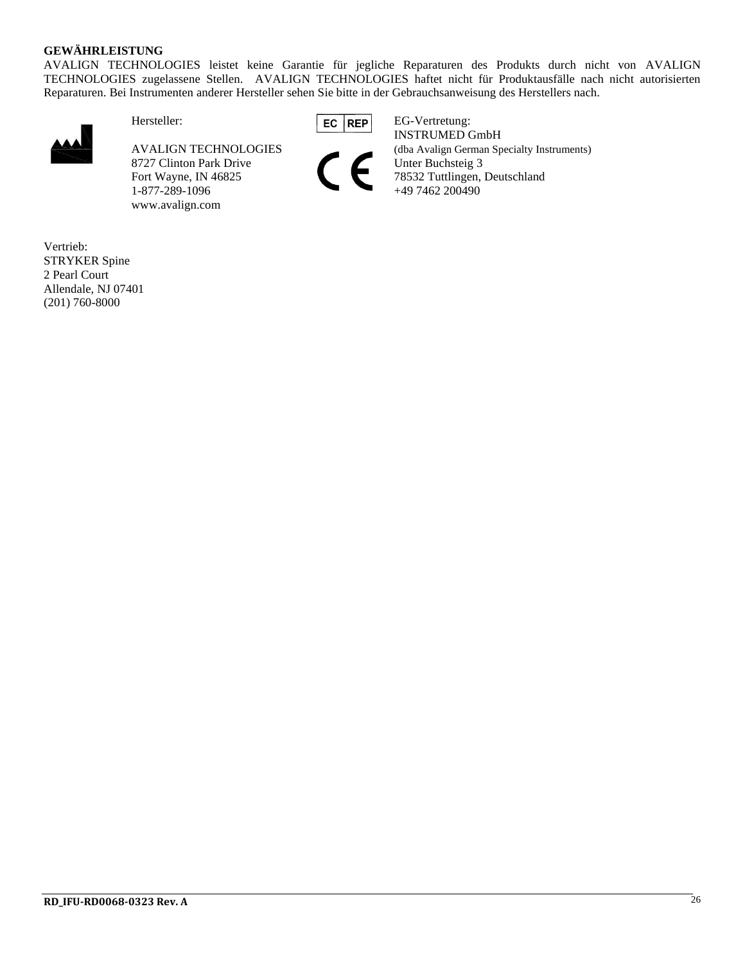#### **GEWÄHRLEISTUNG**

AVALIGN TECHNOLOGIES leistet keine Garantie für jegliche Reparaturen des Produkts durch nicht von AVALIGN TECHNOLOGIES zugelassene Stellen. AVALIGN TECHNOLOGIES haftet nicht für Produktausfälle nach nicht autorisierten Reparaturen. Bei Instrumenten anderer Hersteller sehen Sie bitte in der Gebrauchsanweisung des Herstellers nach.



8727 Clinton Park Drive 1-877-289-1096 www.avalign.com





Hersteller: EG REP EG-Vertretung: INSTRUMED GmbH AVALIGN TECHNOLOGIES (dba Avalign German Specialty Instruments)<br>
8727 Clinton Park Drive Unter Buchsteig 3<br>
78532 Tuttlingen, Deutschland Fort Wayne, IN 46825 78532 Tuttlingen, Deutschland<br>1-877-289-1096 +49 7462 200490

Vertrieb: STRYKER Spine 2 Pearl Court Allendale, NJ 07401 (201) 760-8000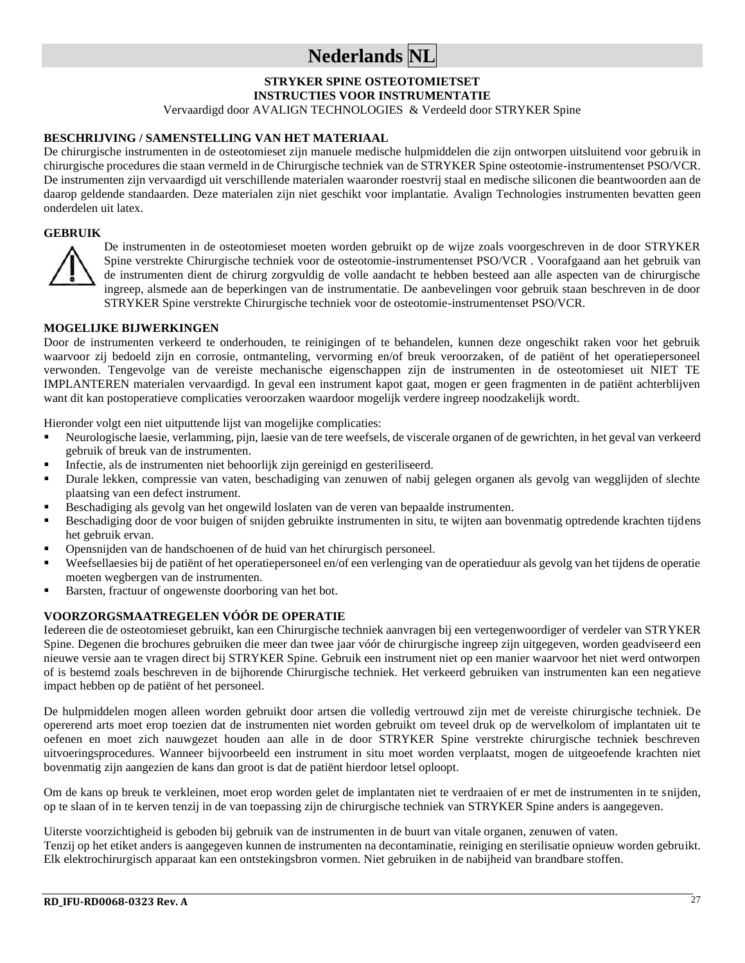## **Nederlands NL**

## **STRYKER SPINE OSTEOTOMIETSET**

**INSTRUCTIES VOOR INSTRUMENTATIE**

Vervaardigd door AVALIGN TECHNOLOGIES & Verdeeld door STRYKER Spine

#### **BESCHRIJVING / SAMENSTELLING VAN HET MATERIAAL**

De chirurgische instrumenten in de osteotomieset zijn manuele medische hulpmiddelen die zijn ontworpen uitsluitend voor gebruik in chirurgische procedures die staan vermeld in de Chirurgische techniek van de STRYKER Spine osteotomie-instrumentenset PSO/VCR. De instrumenten zijn vervaardigd uit verschillende materialen waaronder roestvrij staal en medische siliconen die beantwoorden aan de daarop geldende standaarden. Deze materialen zijn niet geschikt voor implantatie. Avalign Technologies instrumenten bevatten geen onderdelen uit latex.

#### **GEBRUIK**



De instrumenten in de osteotomieset moeten worden gebruikt op de wijze zoals voorgeschreven in de door STRYKER Spine verstrekte Chirurgische techniek voor de osteotomie-instrumentenset PSO/VCR . Voorafgaand aan het gebruik van de instrumenten dient de chirurg zorgvuldig de volle aandacht te hebben besteed aan alle aspecten van de chirurgische ingreep, alsmede aan de beperkingen van de instrumentatie. De aanbevelingen voor gebruik staan beschreven in de door STRYKER Spine verstrekte Chirurgische techniek voor de osteotomie-instrumentenset PSO/VCR.

#### **MOGELIJKE BIJWERKINGEN**

Door de instrumenten verkeerd te onderhouden, te reinigingen of te behandelen, kunnen deze ongeschikt raken voor het gebruik waarvoor zij bedoeld zijn en corrosie, ontmanteling, vervorming en/of breuk veroorzaken, of de patiënt of het operatiepersoneel verwonden. Tengevolge van de vereiste mechanische eigenschappen zijn de instrumenten in de osteotomieset uit NIET TE IMPLANTEREN materialen vervaardigd. In geval een instrument kapot gaat, mogen er geen fragmenten in de patiënt achterblijven want dit kan postoperatieve complicaties veroorzaken waardoor mogelijk verdere ingreep noodzakelijk wordt.

Hieronder volgt een niet uitputtende lijst van mogelijke complicaties:

- Neurologische laesie, verlamming, pijn, laesie van de tere weefsels, de viscerale organen of de gewrichten, in het geval van verkeerd gebruik of breuk van de instrumenten.
- Infectie, als de instrumenten niet behoorlijk zijn gereinigd en gesteriliseerd.
- Durale lekken, compressie van vaten, beschadiging van zenuwen of nabij gelegen organen als gevolg van wegglijden of slechte plaatsing van een defect instrument.
- Beschadiging als gevolg van het ongewild loslaten van de veren van bepaalde instrumenten.
- Beschadiging door de voor buigen of snijden gebruikte instrumenten in situ, te wijten aan bovenmatig optredende krachten tijdens het gebruik ervan.
- Opensnijden van de handschoenen of de huid van het chirurgisch personeel.
- Weefsellaesies bij de patiënt of het operatiepersoneel en/of een verlenging van de operatieduur als gevolg van het tijdens de operatie moeten wegbergen van de instrumenten.
- Barsten, fractuur of ongewenste doorboring van het bot.

#### **VOORZORGSMAATREGELEN VÓÓR DE OPERATIE**

Iedereen die de osteotomieset gebruikt, kan een Chirurgische techniek aanvragen bij een vertegenwoordiger of verdeler van STRYKER Spine. Degenen die brochures gebruiken die meer dan twee jaar vóór de chirurgische ingreep zijn uitgegeven, worden geadviseerd een nieuwe versie aan te vragen direct bij STRYKER Spine. Gebruik een instrument niet op een manier waarvoor het niet werd ontworpen of is bestemd zoals beschreven in de bijhorende Chirurgische techniek. Het verkeerd gebruiken van instrumenten kan een negatieve impact hebben op de patiënt of het personeel.

De hulpmiddelen mogen alleen worden gebruikt door artsen die volledig vertrouwd zijn met de vereiste chirurgische techniek. De opererend arts moet erop toezien dat de instrumenten niet worden gebruikt om teveel druk op de wervelkolom of implantaten uit te oefenen en moet zich nauwgezet houden aan alle in de door STRYKER Spine verstrekte chirurgische techniek beschreven uitvoeringsprocedures. Wanneer bijvoorbeeld een instrument in situ moet worden verplaatst, mogen de uitgeoefende krachten niet bovenmatig zijn aangezien de kans dan groot is dat de patiënt hierdoor letsel oploopt.

Om de kans op breuk te verkleinen, moet erop worden gelet de implantaten niet te verdraaien of er met de instrumenten in te snijden, op te slaan of in te kerven tenzij in de van toepassing zijn de chirurgische techniek van STRYKER Spine anders is aangegeven.

Uiterste voorzichtigheid is geboden bij gebruik van de instrumenten in de buurt van vitale organen, zenuwen of vaten.

Tenzij op het etiket anders is aangegeven kunnen de instrumenten na decontaminatie, reiniging en sterilisatie opnieuw worden gebruikt. Elk elektrochirurgisch apparaat kan een ontstekingsbron vormen. Niet gebruiken in de nabijheid van brandbare stoffen.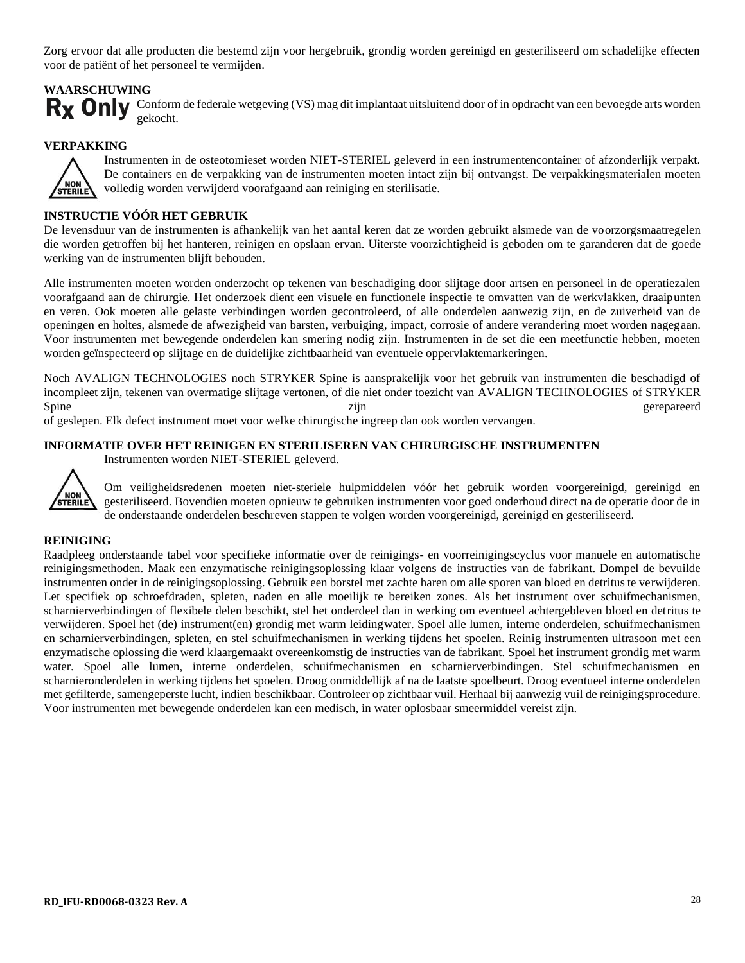Zorg ervoor dat alle producten die bestemd zijn voor hergebruik, grondig worden gereinigd en gesteriliseerd om schadelijke effecten voor de patiënt of het personeel te vermijden.

#### **WAARSCHUWING**

Rx Only Conform de federale wetgeving (VS) mag dit implantaat uitsluitend door of in opdracht van een bevoegde arts worden gekocht.

#### **VERPAKKING**



Instrumenten in de osteotomieset worden NIET-STERIEL geleverd in een instrumentencontainer of afzonderlijk verpakt. De containers en de verpakking van de instrumenten moeten intact zijn bij ontvangst. De verpakkingsmaterialen moeten volledig worden verwijderd voorafgaand aan reiniging en sterilisatie.

#### **INSTRUCTIE VÓÓR HET GEBRUIK**

De levensduur van de instrumenten is afhankelijk van het aantal keren dat ze worden gebruikt alsmede van de voorzorgsmaatregelen die worden getroffen bij het hanteren, reinigen en opslaan ervan. Uiterste voorzichtigheid is geboden om te garanderen dat de goede werking van de instrumenten blijft behouden.

Alle instrumenten moeten worden onderzocht op tekenen van beschadiging door slijtage door artsen en personeel in de operatiezalen voorafgaand aan de chirurgie. Het onderzoek dient een visuele en functionele inspectie te omvatten van de werkvlakken, draaipunten en veren. Ook moeten alle gelaste verbindingen worden gecontroleerd, of alle onderdelen aanwezig zijn, en de zuiverheid van de openingen en holtes, alsmede de afwezigheid van barsten, verbuiging, impact, corrosie of andere verandering moet worden nagegaan. Voor instrumenten met bewegende onderdelen kan smering nodig zijn. Instrumenten in de set die een meetfunctie hebben, moeten worden geïnspecteerd op slijtage en de duidelijke zichtbaarheid van eventuele oppervlaktemarkeringen.

Noch AVALIGN TECHNOLOGIES noch STRYKER Spine is aansprakelijk voor het gebruik van instrumenten die beschadigd of incompleet zijn, tekenen van overmatige slijtage vertonen, of die niet onder toezicht van AVALIGN TECHNOLOGIES of STRYKER Spine zijn zijn gerepareerd

of geslepen. Elk defect instrument moet voor welke chirurgische ingreep dan ook worden vervangen.

#### **INFORMATIE OVER HET REINIGEN EN STERILISEREN VAN CHIRURGISCHE INSTRUMENTEN**

Instrumenten worden NIET-STERIEL geleverd.



Om veiligheidsredenen moeten niet-steriele hulpmiddelen vóór het gebruik worden voorgereinigd, gereinigd en gesteriliseerd. Bovendien moeten opnieuw te gebruiken instrumenten voor goed onderhoud direct na de operatie door de in de onderstaande onderdelen beschreven stappen te volgen worden voorgereinigd, gereinigd en gesteriliseerd.

#### **REINIGING**

Raadpleeg onderstaande tabel voor specifieke informatie over de reinigings- en voorreinigingscyclus voor manuele en automatische reinigingsmethoden. Maak een enzymatische reinigingsoplossing klaar volgens de instructies van de fabrikant. Dompel de bevuilde instrumenten onder in de reinigingsoplossing. Gebruik een borstel met zachte haren om alle sporen van bloed en detritus te verwijderen. Let specifiek op schroefdraden, spleten, naden en alle moeilijk te bereiken zones. Als het instrument over schuifmechanismen, scharnierverbindingen of flexibele delen beschikt, stel het onderdeel dan in werking om eventueel achtergebleven bloed en detritus te verwijderen. Spoel het (de) instrument(en) grondig met warm leidingwater. Spoel alle lumen, interne onderdelen, schuifmechanismen en scharnierverbindingen, spleten, en stel schuifmechanismen in werking tijdens het spoelen. Reinig instrumenten ultrasoon met een enzymatische oplossing die werd klaargemaakt overeenkomstig de instructies van de fabrikant. Spoel het instrument grondig met warm water. Spoel alle lumen, interne onderdelen, schuifmechanismen en scharnierverbindingen. Stel schuifmechanismen en scharnieronderdelen in werking tijdens het spoelen. Droog onmiddellijk af na de laatste spoelbeurt. Droog eventueel interne onderdelen met gefilterde, samengeperste lucht, indien beschikbaar. Controleer op zichtbaar vuil. Herhaal bij aanwezig vuil de reinigingsprocedure. Voor instrumenten met bewegende onderdelen kan een medisch, in water oplosbaar smeermiddel vereist zijn.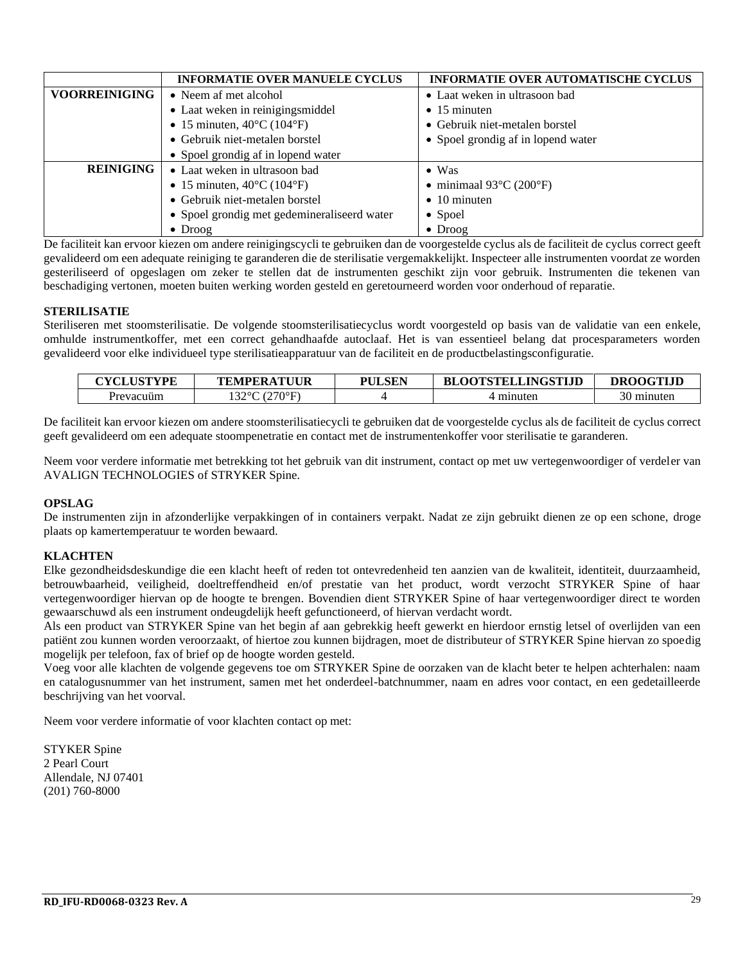|                      | <b>INFORMATIE OVER AUTOMATISCHE CYCLUS</b><br><b>INFORMATIE OVER MANUELE CYCLUS</b> |                                              |  |
|----------------------|-------------------------------------------------------------------------------------|----------------------------------------------|--|
| <b>VOORREINIGING</b> | • Neem af met alcohol                                                               | • Laat weken in ultrasoon bad                |  |
|                      | • Laat weken in reinigingsmiddel                                                    | $\bullet$ 15 minuten                         |  |
|                      | • 15 minuten, $40^{\circ}$ C (104 $^{\circ}$ F)                                     | • Gebruik niet-metalen borstel               |  |
|                      | • Gebruik niet-metalen borstel                                                      | • Spoel grondig af in lopend water           |  |
|                      | • Spoel grondig af in lopend water                                                  |                                              |  |
| <b>REINIGING</b>     | • Laat weken in ultrasoon bad                                                       | $\bullet$ Was                                |  |
|                      | • 15 minuten, $40^{\circ}$ C (104 $^{\circ}$ F)                                     | • minimaal $93^{\circ}$ C (200 $^{\circ}$ F) |  |
|                      | • Gebruik niet-metalen borstel                                                      | $\bullet$ 10 minuten                         |  |
|                      | • Spoel grondig met gedemineraliseerd water                                         | $\bullet$ Spoel                              |  |
|                      | $\bullet$ Droog                                                                     | $\bullet$ Droog                              |  |

De faciliteit kan ervoor kiezen om andere reinigingscycli te gebruiken dan de voorgestelde cyclus als de faciliteit de cyclus correct geeft gevalideerd om een adequate reiniging te garanderen die de sterilisatie vergemakkelijkt. Inspecteer alle instrumenten voordat ze worden gesteriliseerd of opgeslagen om zeker te stellen dat de instrumenten geschikt zijn voor gebruik. Instrumenten die tekenen van beschadiging vertonen, moeten buiten werking worden gesteld en geretourneerd worden voor onderhoud of reparatie.

#### **STERILISATIE**

Steriliseren met stoomsterilisatie. De volgende stoomsterilisatiecyclus wordt voorgesteld op basis van de validatie van een enkele, omhulde instrumentkoffer, met een correct gehandhaafde autoclaaf. Het is van essentieel belang dat procesparameters worden gevalideerd voor elke individueel type sterilisatieapparatuur van de faciliteit en de productbelastingsconfiguratie.

| <b>CYCLUSTYPE</b> | <b>TEMPERATUUR</b>   | <b>PULSEN</b> | <b>BLOOTSTELLINGSTLID</b> | <b>DROOGTLID</b> |
|-------------------|----------------------|---------------|---------------------------|------------------|
| Prevacuüm         | $'$ (270°E)<br>1220C |               | minuter                   | minuter)         |

De faciliteit kan ervoor kiezen om andere stoomsterilisatiecycli te gebruiken dat de voorgestelde cyclus als de faciliteit de cyclus correct geeft gevalideerd om een adequate stoompenetratie en contact met de instrumentenkoffer voor sterilisatie te garanderen.

Neem voor verdere informatie met betrekking tot het gebruik van dit instrument, contact op met uw vertegenwoordiger of verdeler van AVALIGN TECHNOLOGIES of STRYKER Spine.

#### **OPSLAG**

De instrumenten zijn in afzonderlijke verpakkingen of in containers verpakt. Nadat ze zijn gebruikt dienen ze op een schone, droge plaats op kamertemperatuur te worden bewaard.

#### **KLACHTEN**

Elke gezondheidsdeskundige die een klacht heeft of reden tot ontevredenheid ten aanzien van de kwaliteit, identiteit, duurzaamheid, betrouwbaarheid, veiligheid, doeltreffendheid en/of prestatie van het product, wordt verzocht STRYKER Spine of haar vertegenwoordiger hiervan op de hoogte te brengen. Bovendien dient STRYKER Spine of haar vertegenwoordiger direct te worden gewaarschuwd als een instrument ondeugdelijk heeft gefunctioneerd, of hiervan verdacht wordt.

Als een product van STRYKER Spine van het begin af aan gebrekkig heeft gewerkt en hierdoor ernstig letsel of overlijden van een patiënt zou kunnen worden veroorzaakt, of hiertoe zou kunnen bijdragen, moet de distributeur of STRYKER Spine hiervan zo spoedig mogelijk per telefoon, fax of brief op de hoogte worden gesteld.

Voeg voor alle klachten de volgende gegevens toe om STRYKER Spine de oorzaken van de klacht beter te helpen achterhalen: naam en catalogusnummer van het instrument, samen met het onderdeel-batchnummer, naam en adres voor contact, en een gedetailleerde beschrijving van het voorval.

Neem voor verdere informatie of voor klachten contact op met:

STYKER Spine 2 Pearl Court Allendale, NJ 07401 (201) 760-8000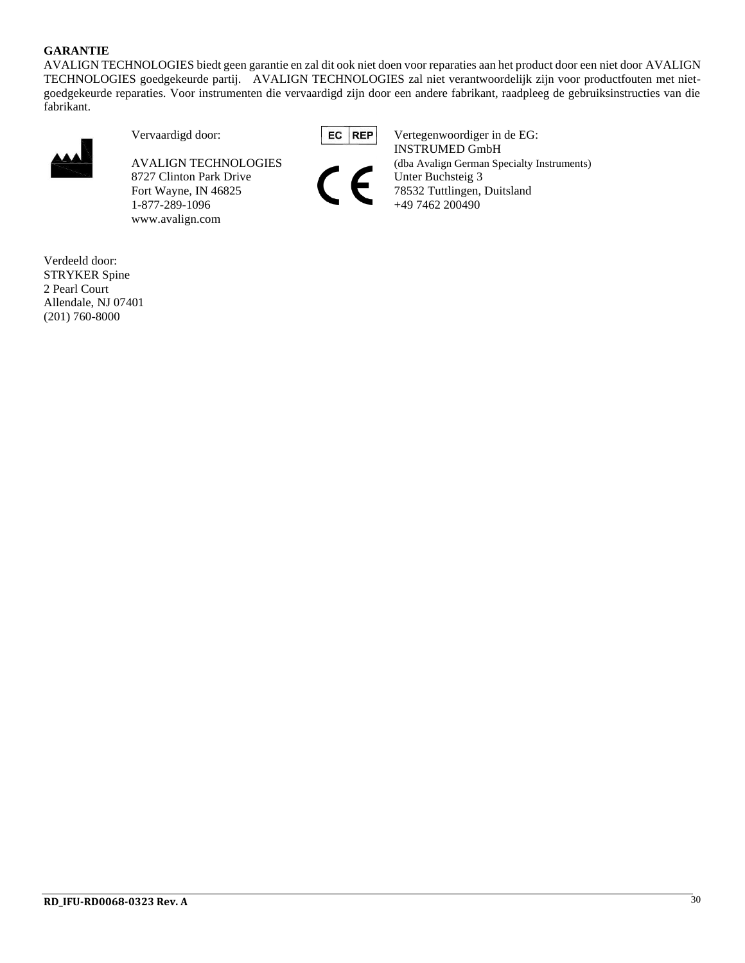#### **GARANTIE**

AVALIGN TECHNOLOGIES biedt geen garantie en zal dit ook niet doen voor reparaties aan het product door een niet door AVALIGN TECHNOLOGIES goedgekeurde partij. AVALIGN TECHNOLOGIES zal niet verantwoordelijk zijn voor productfouten met nietgoedgekeurde reparaties. Voor instrumenten die vervaardigd zijn door een andere fabrikant, raadpleeg de gebruiksinstructies van die fabrikant.



8727 Clinton Park Drive Unter Buchsteig 3 Fort Wayne, IN 46825 78532 Tuttlingen, Duitsland 1-877-289-1096 +49 7462 200490 www.avalign.com



Vervaardigd door: **EC** | REP | Vertegenwoordiger in de EG: INSTRUMED GmbH AVALIGN TECHNOLOGIES (dba Avalign German Specialty Instruments)

Verdeeld door: STRYKER Spine 2 Pearl Court Allendale, NJ 07401 (201) 760-8000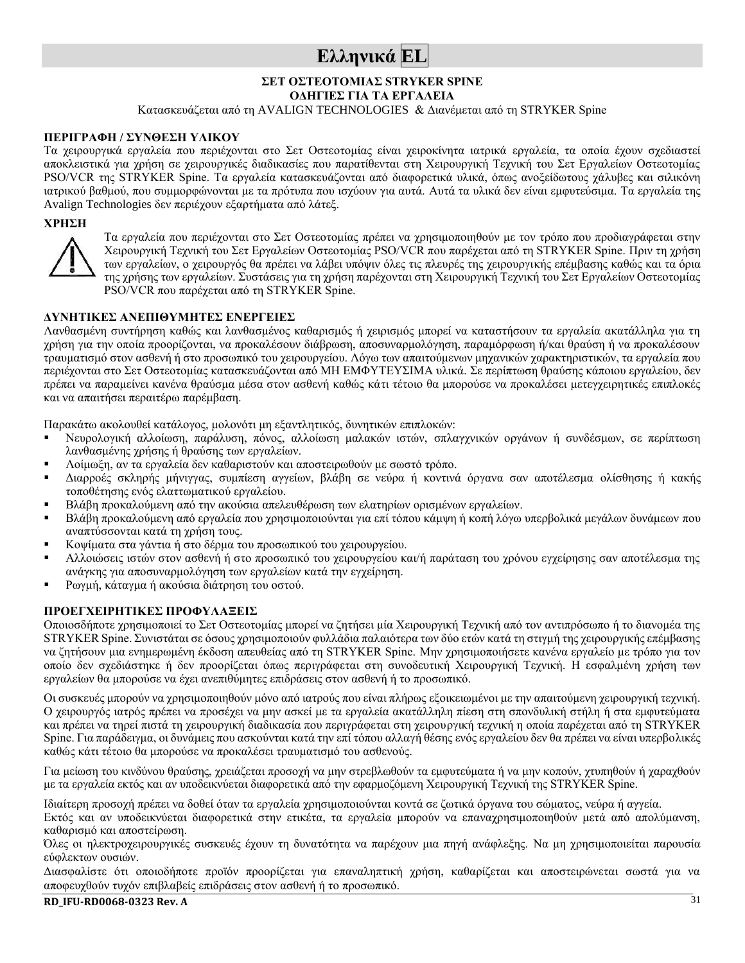## **Ελληνικά EL**

#### **ΣΕΤ ΟΣΤΕΟΤΟΜΙΑΣ STRYKER SPINE**

**ΟΔΗΓΙΕΣ ΓΙΑ ΤΑ ΕΡΓΑΛΕΙΑ**

Κατασκευάζεται από τη AVALIGN TECHNOLOGIES & Διανέμεται από τη STRYKER Spine

#### **ΠΕΡΙΓΡΑΦΗ / ΣΥΝΘΕΣΗ ΥΛΙΚΟΥ**

Τα χειρουργικά εργαλεία που περιέχονται στο Σετ Οστεοτομίας είναι χειροκίνητα ιατρικά εργαλεία, τα οποία έχουν σχεδιαστεί αποκλειστικά για χρήση σε χειρουργικές διαδικασίες που παρατίθενται στη Χειρουργική Τεχνική του Σετ Εργαλείων Οστεοτομίας PSO/VCR της STRYKER Spine. Τα εργαλεία κατασκευάζονται από διαφορετικά υλικά, όπως ανοξείδωτους χάλυβες και σιλικόνη ιατρικού βαθμού, που συμμορφώνονται με τα πρότυπα που ισχύουν για αυτά. Αυτά τα υλικά δεν είναι εμφυτεύσιμα. Τα εργαλεία της Avalign Technologies δεν περιέχουν εξαρτήματα από λάτεξ.

#### **ΧΡΗΣΗ**



Τα εργαλεία που περιέχονται στο Σετ Οστεοτομίας πρέπει να χρησιμοποιηθούν με τον τρόπο που προδιαγράφεται στην Χειρουργική Τεχνική του Σετ Εργαλείων Οστεοτομίας PSO/VCR που παρέχεται από τη STRYKER Spine. Πριν τη χρήση των εργαλείων, ο χειρουργός θα πρέπει να λάβει υπόψιν όλες τις πλευρές της χειρουργικής επέμβασης καθώς και τα όρια της χρήσης των εργαλείων. Συστάσεις για τη χρήση παρέχονται στη Χειρουργική Τεχνική του Σετ Εργαλείων Οστεοτομίας PSO/VCR που παρέχεται από τη STRYKER Spine.

#### **ΔΥΝΗΤΙΚΕΣ ΑΝΕΠΙΘΥΜΗΤΕΣ ΕΝΕΡΓΕΙΕΣ**

Λανθασμένη συντήρηση καθώς και λανθασμένος καθαρισμός ή χειρισμός μπορεί να καταστήσουν τα εργαλεία ακατάλληλα για τη χρήση για την οποία προορίζονται, να προκαλέσουν διάβρωση, αποσυναρμολόγηση, παραμόρφωση ή/και θραύση ή να προκαλέσουν τραυματισμό στον ασθενή ή στο προσωπικό του χειρουργείου. Λόγω των απαιτούμενων μηχανικών χαρακτηριστικών, τα εργαλεία που περιέχονται στο Σετ Οστεοτομίας κατασκευάζονται από ΜΗ ΕΜΦΥΤΕΥΣΙΜΑ υλικά. Σε περίπτωση θραύσης κάποιου εργαλείου, δεν πρέπει να παραμείνει κανένα θραύσμα μέσα στον ασθενή καθώς κάτι τέτοιο θα μπορούσε να προκαλέσει μετεγχειρητικές επιπλοκές και να απαιτήσει περαιτέρω παρέμβαση.

Παρακάτω ακολουθεί κατάλογος, μολονότι μη εξαντλητικός, δυνητικών επιπλοκών:

- Νευρολογική αλλοίωση, παράλυση, πόνος, αλλοίωση μαλακών ιστών, σπλαγχνικών οργάνων ή συνδέσμων, σε περίπτωση λανθασμένης χρήσης ή θραύσης των εργαλείων.
- Λοίμωξη, αν τα εργαλεία δεν καθαριστούν και αποστειρωθούν με σωστό τρόπο.
- Διαρροές σκληρής μήνιγγας, συμπίεση αγγείων, βλάβη σε νεύρα ή κοντινά όργανα σαν αποτέλεσμα ολίσθησης ή κακής τοποθέτησης ενός ελαττωματικού εργαλείου.
- Βλάβη προκαλούμενη από την ακούσια απελευθέρωση των ελατηρίων ορισμένων εργαλείων.
- Βλάβη προκαλούμενη από εργαλεία που χρησιμοποιούνται για επί τόπου κάμψη ή κοπή λόγω υπερβολικά μεγάλων δυνάμεων που αναπτύσσονται κατά τη χρήση τους.
- Κοψίματα στα γάντια ή στο δέρμα του προσωπικού του χειρουργείου.
- Αλλοιώσεις ιστών στον ασθενή ή στο προσωπικό του χειρουργείου και/ή παράταση του χρόνου εγχείρησης σαν αποτέλεσμα της ανάγκης για αποσυναρμολόγηση των εργαλείων κατά την εγχείρηση.
- Ρωγμή, κάταγμα ή ακούσια διάτρηση του οστού.

#### **ΠΡΟΕΓΧΕΙΡΗΤΙΚΕΣ ΠΡΟΦΥΛΑΞΕΙΣ**

Οποιοσδήποτε χρησιμοποιεί το Σετ Οστεοτομίας μπορεί να ζητήσει μία Χειρουργική Τεχνική από τον αντιπρόσωπο ή το διανομέα της STRYKER Spine. Συνιστάται σε όσους χρησιμοποιούν φυλλάδια παλαιότερα των δύο ετών κατά τη στιγμή της χειρουργικής επέμβασης να ζητήσουν μια ενημερωμένη έκδοση απευθείας από τη STRYKER Spine. Μην χρησιμοποιήσετε κανένα εργαλείο με τρόπο για τον οποίο δεν σχεδιάστηκε ή δεν προορίζεται όπως περιγράφεται στη συνοδευτική Χειρουργική Τεχνική. Η εσφαλμένη χρήση των εργαλείων θα μπορούσε να έχει ανεπιθύμητες επιδράσεις στον ασθενή ή το προσωπικό.

Οι συσκευές μπορούν να χρησιμοποιηθούν μόνο από ιατρούς που είναι πλήρως εξοικειωμένοι με την απαιτούμενη χειρουργική τεχνική. Ο χειρουργός ιατρός πρέπει να προσέχει να μην ασκεί με τα εργαλεία ακατάλληλη πίεση στη σπονδυλική στήλη ή στα εμφυτεύματα και πρέπει να τηρεί πιστά τη χειρουργική διαδικασία που περιγράφεται στη χειρουργική τεχνική η οποία παρέχεται από τη STRYKER Spine. Για παράδειγμα, οι δυνάμεις που ασκούνται κατά την επί τόπου αλλαγή θέσης ενός εργαλείου δεν θα πρέπει να είναι υπερβολικές καθώς κάτι τέτοιο θα μπορούσε να προκαλέσει τραυματισμό του ασθενούς.

Για μείωση του κινδύνου θραύσης, χρειάζεται προσοχή να μην στρεβλωθούν τα εμφυτεύματα ή να μην κοπούν, χτυπηθούν ή χαραχθούν με τα εργαλεία εκτός και αν υποδεικνύεται διαφορετικά από την εφαρμοζόμενη Χειρουργική Τεχνική της STRYKER Spine.

Ιδιαίτερη προσοχή πρέπει να δοθεί όταν τα εργαλεία χρησιμοποιούνται κοντά σε ζωτικά όργανα του σώματος, νεύρα ή αγγεία.

Εκτός και αν υποδεικνύεται διαφορετικά στην ετικέτα, τα εργαλεία μπορούν να επαναχρησιμοποιηθούν μετά από απολύμανση, καθαρισμό και αποστείρωση.

Όλες οι ηλεκτροχειρουργικές συσκευές έχουν τη δυνατότητα να παρέχουν μια πηγή ανάφλεξης. Να μη χρησιμοποιείται παρουσία εύφλεκτων ουσιών.

Διασφαλίστε ότι οποιοδήποτε προϊόν προορίζεται για επαναληπτική χρήση, καθαρίζεται και αποστειρώνεται σωστά για να αποφευχθούν τυχόν επιβλαβείς επιδράσεις στον ασθενή ή το προσωπικό.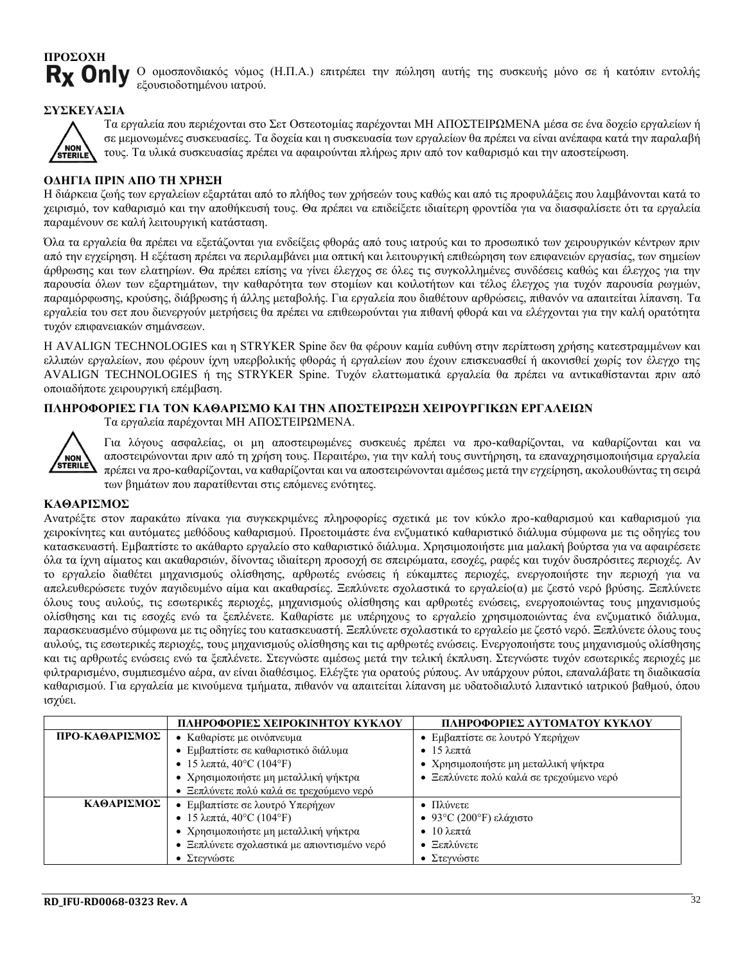## **ΠΡΟΣΟΧΗ R<sub>x</sub>** Only

Ο ομοσπονδιακός νόμος (Η.Π.Α.) επιτρέπει την πώληση αυτής της συσκευής μόνο σε ή κατόπιν εντολής εξουσιοδοτημένου ιατρού.

#### **ΣΥΣΚΕΥΑΣΙΑ**



Τα εργαλεία που περιέχονται στο Σετ Οστεοτομίας παρέχονται ΜΗ ΑΠΟΣΤΕΙΡΩΜΕΝΑ μέσα σε ένα δοχείο εργαλείων ή σε μεμονωμένες συσκευασίες. Τα δοχεία και η συσκευασία των εργαλείων θα πρέπει να είναι ανέπαφα κατά την παραλαβή τους. Τα υλικά συσκευασίας πρέπει να αφαιρούνται πλήρως πριν από τον καθαρισμό και την αποστείρωση.

#### **ΟΔΗΓΙΑ ΠΡΙΝ ΑΠΟ ΤΗ ΧΡΗΣΗ**

Η διάρκεια ζωής των εργαλείων εξαρτάται από το πλήθος των χρήσεών τους καθώς και από τις προφυλάξεις που λαμβάνονται κατά το χειρισμό, τον καθαρισμό και την αποθήκευσή τους. Θα πρέπει να επιδείξετε ιδιαίτερη φροντίδα για να διασφαλίσετε ότι τα εργαλεία παραμένουν σε καλή λειτουργική κατάσταση.

Όλα τα εργαλεία θα πρέπει να εξετάζονται για ενδείξεις φθοράς από τους ιατρούς και το προσωπικό των χειρουργικών κέντρων πριν από την εγχείρηση. Η εξέταση πρέπει να περιλαμβάνει μια οπτική και λειτουργική επιθεώρηση των επιφανειών εργασίας, των σημείων άρθρωσης και των ελατηρίων. Θα πρέπει επίσης να γίνει έλεγχος σε όλες τις συγκολλημένες συνδέσεις καθώς και έλεγχος για την παρουσία όλων των εξαρτημάτων, την καθαρότητα των στομίων και κοιλοτήτων και τέλος έλεγχος για τυχόν παρουσία ρωγμών, παραμόρφωσης, κρούσης, διάβρωσης ή άλλης μεταβολής. Για εργαλεία που διαθέτουν αρθρώσεις, πιθανόν να απαιτείται λίπανση. Τα εργαλεία του σετ που διενεργούν μετρήσεις θα πρέπει να επιθεωρούνται για πιθανή φθορά και να ελέγχονται για την καλή ορατότητα τυχόν επιφανειακών σημάνσεων.

Η AVALIGN TECHNOLOGIES και η STRYKER Spine δεν θα φέρουν καμία ευθύνη στην περίπτωση χρήσης κατεστραμμένων και ελλιπών εργαλείων, που φέρουν ίχνη υπερβολικής φθοράς ή εργαλείων που έχουν επισκευασθεί ή ακονισθεί χωρίς τον έλεγχο της AVALIGN TECHNOLOGIES ή της STRYKER Spine. Τυχόν ελαττωματικά εργαλεία θα πρέπει να αντικαθίστανται πριν από οποιαδήποτε χειρουργική επέμβαση.

#### **ΠΛΗΡΟΦΟΡΙΕΣ ΓΙΑ ΤΟΝ ΚΑΘΑΡΙΣΜΟ ΚΑΙ ΤΗΝ ΑΠΟΣΤΕΙΡΩΣΗ ΧΕΙΡΟΥΡΓΙΚΩΝ ΕΡΓΑΛΕΙΩΝ**

Τα εργαλεία παρέχονται ΜΗ ΑΠΟΣΤΕΙΡΩΜΕΝΑ.



Για λόγους ασφαλείας, οι μη αποστειρωμένες συσκευές πρέπει να προ-καθαρίζονται, να καθαρίζονται και να αποστειρώνονται πριν από τη χρήση τους. Περαιτέρω, για την καλή τους συντήρηση, τα επαναχρησιμοποιήσιμα εργαλεία πρέπει να προ-καθαρίζονται, να καθαρίζονται και να αποστειρώνονται αμέσως μετά την εγχείρηση, ακολουθώντας τη σειρά των βημάτων που παρατίθενται στις επόμενες ενότητες.

#### **ΚΑΘΑΡΙΣΜΟΣ**

Ανατρέξτε στον παρακάτω πίνακα για συγκεκριμένες πληροφορίες σχετικά με τον κύκλο προ-καθαρισμού και καθαρισμού για χειροκίνητες και αυτόματες μεθόδους καθαρισμού. Προετοιμάστε ένα ενζυματικό καθαριστικό διάλυμα σύμφωνα με τις οδηγίες του κατασκευαστή. Εμβαπτίστε το ακάθαρτο εργαλείο στο καθαριστικό διάλυμα. Χρησιμοποιήστε μια μαλακή βούρτσα για να αφαιρέσετε όλα τα ίχνη αίματος και ακαθαρσιών, δίνοντας ιδιαίτερη προσοχή σε σπειρώματα, εσοχές, ραφές και τυχόν δυσπρόσιτες περιοχές. Αν το εργαλείο διαθέτει μηχανισμούς ολίσθησης, αρθρωτές ενώσεις ή εύκαμπτες περιοχές, ενεργοποιήστε την περιοχή για να απελευθερώσετε τυχόν παγιδευμένο αίμα και ακαθαρσίες. Ξεπλύνετε σχολαστικά το εργαλείο(α) με ζεστό νερό βρύσης. Ξεπλύνετε όλους τους αυλούς, τις εσωτερικές περιοχές, μηχανισμούς ολίσθησης και αρθρωτές ενώσεις, ενεργοποιώντας τους μηχανισμούς ολίσθησης και τις εσοχές ενώ τα ξεπλένετε. Καθαρίστε με υπέρηχους το εργαλείο χρησιμοποιώντας ένα ενζυματικό διάλυμα, παρασκευασμένο σύμφωνα με τις οδηγίες του κατασκευαστή. Ξεπλύνετε σχολαστικά το εργαλείο με ζεστό νερό. Ξεπλύνετε όλους τους αυλούς, τις εσωτερικές περιοχές, τους μηχανισμούς ολίσθησης και τις αρθρωτές ενώσεις. Ενεργοποιήστε τους μηχανισμούς ολίσθησης και τις αρθρωτές ενώσεις ενώ τα ξεπλένετε. Στεγνώστε αμέσως μετά την τελική έκπλυση. Στεγνώστε τυχόν εσωτερικές περιοχές με φιλτραρισμένο, συμπιεσμένο αέρα, αν είναι διαθέσιμος. Ελέγξτε για ορατούς ρύπους. Αν υπάρχουν ρύποι, επαναλάβατε τη διαδικασία καθαρισμού. Για εργαλεία με κινούμενα τμήματα, πιθανόν να απαιτείται λίπανση με υδατοδιαλυτό λιπαντικό ιατρικού βαθμού, όπου ισχύει.

|                | ΠΛΗΡΟΦΟΡΙΕΣ ΧΕΙΡΟΚΙΝΗΤΟΥ ΚΥΚΛΟΥ<br>ΠΛΗΡΟΦΟΡΙΕΣ ΑΥΤΟΜΑΤΟΥ ΚΥΚΛΟΥ  |                                          |
|----------------|------------------------------------------------------------------|------------------------------------------|
| ΠΡΟ-ΚΑΘΑΡΙΣΜΟΣ | • Καθαρίστε με οινόπνευμα                                        | • Εμβαπτίστε σε λουτρό Υπερήχων          |
|                | • Εμβαπτίστε σε καθαριστικό διάλυμα                              | $\bullet$ 15 λεπτά                       |
|                | • 15 λεπτά, 40°C (104°F)<br>• Χρησιμοποιήστε μη μεταλλική ψήκτρα |                                          |
|                | • Χρησιμοποιήστε μη μεταλλική ψήκτρα                             | • Ξεπλύνετε πολύ καλά σε τρεχούμενο νερό |
|                | • Ξεπλύνετε πολύ καλά σε τρεχούμενο νερό                         |                                          |
| ΚΑΘΑΡΙΣΜΟΣ     | • Εμβαπτίστε σε λουτρό Υπερήχων                                  | • Πλύνετε                                |
|                | • 15 λεπτά, 40°C (104°F)                                         | • 93°C (200°F) ελάχιστο                  |
|                | • Χρησιμοποιήστε μη μεταλλική ψήκτρα                             | $\bullet$ 10 λεπτά                       |
|                | • Ξεπλύνετε σχολαστικά με απιοντισμένο νερό                      | Ξεπλύνετε<br>$\bullet$                   |
|                | • Στεγνώστε                                                      | • Στεγνώστε                              |